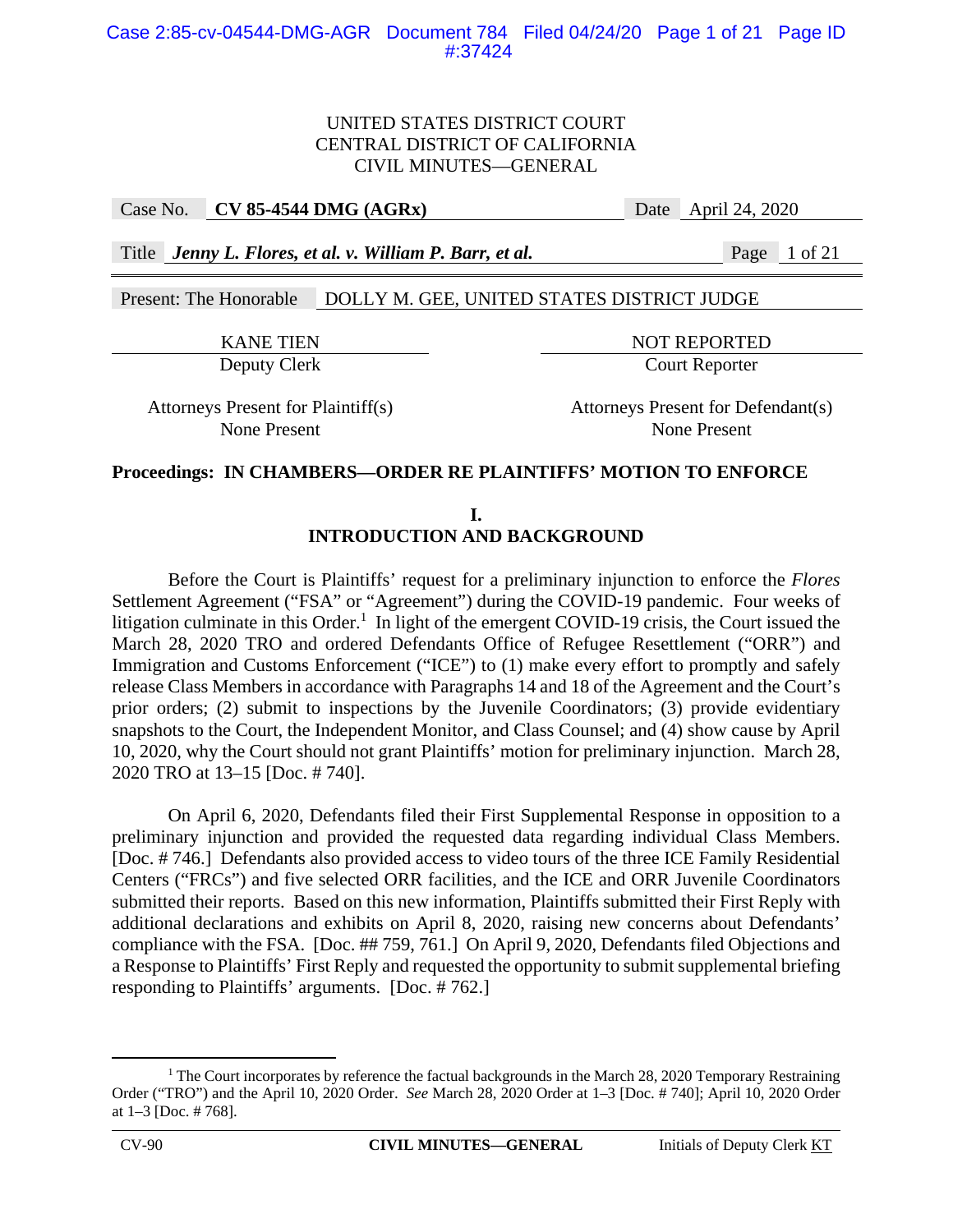Case No. **CV 85-4544 DMG (AGRx)** Date April 24, 2020

Title *Jenny L. Flores, et al. v. William P. Barr, et al.* Page 1 of 21

Present: The Honorable DOLLY M. GEE, UNITED STATES DISTRICT JUDGE

KANE TIEN NOT REPORTED Deputy Clerk Court Reporter

Attorneys Present for Plaintiff(s) Attorneys Present for Defendant(s) None Present None Present

# **Proceedings: IN CHAMBERS—ORDER RE PLAINTIFFS' MOTION TO ENFORCE**

# **I. INTRODUCTION AND BACKGROUND**

Before the Court is Plaintiffs' request for a preliminary injunction to enforce the *Flores* Settlement Agreement ("FSA" or "Agreement") during the COVID-19 pandemic. Four weeks of litigation culminate in this Order.<sup>1</sup> In light of the emergent COVID-19 crisis, the Court issued the March 28, 2020 TRO and ordered Defendants Office of Refugee Resettlement ("ORR") and Immigration and Customs Enforcement ("ICE") to (1) make every effort to promptly and safely release Class Members in accordance with Paragraphs 14 and 18 of the Agreement and the Court's prior orders; (2) submit to inspections by the Juvenile Coordinators; (3) provide evidentiary snapshots to the Court, the Independent Monitor, and Class Counsel; and (4) show cause by April 10, 2020, why the Court should not grant Plaintiffs' motion for preliminary injunction. March 28, 2020 TRO at 13–15 [Doc. # 740].

 On April 6, 2020, Defendants filed their First Supplemental Response in opposition to a preliminary injunction and provided the requested data regarding individual Class Members. [Doc. # 746.] Defendants also provided access to video tours of the three ICE Family Residential Centers ("FRCs") and five selected ORR facilities, and the ICE and ORR Juvenile Coordinators submitted their reports. Based on this new information, Plaintiffs submitted their First Reply with additional declarations and exhibits on April 8, 2020, raising new concerns about Defendants' compliance with the FSA. [Doc. ## 759, 761.] On April 9, 2020, Defendants filed Objections and a Response to Plaintiffs' First Reply and requested the opportunity to submit supplemental briefing responding to Plaintiffs' arguments. [Doc. # 762.]

<sup>&</sup>lt;u>1</u> <sup>1</sup> The Court incorporates by reference the factual backgrounds in the March 28, 2020 Temporary Restraining Order ("TRO") and the April 10, 2020 Order. *See* March 28, 2020 Order at 1–3 [Doc. # 740]; April 10, 2020 Order at 1–3 [Doc. # 768].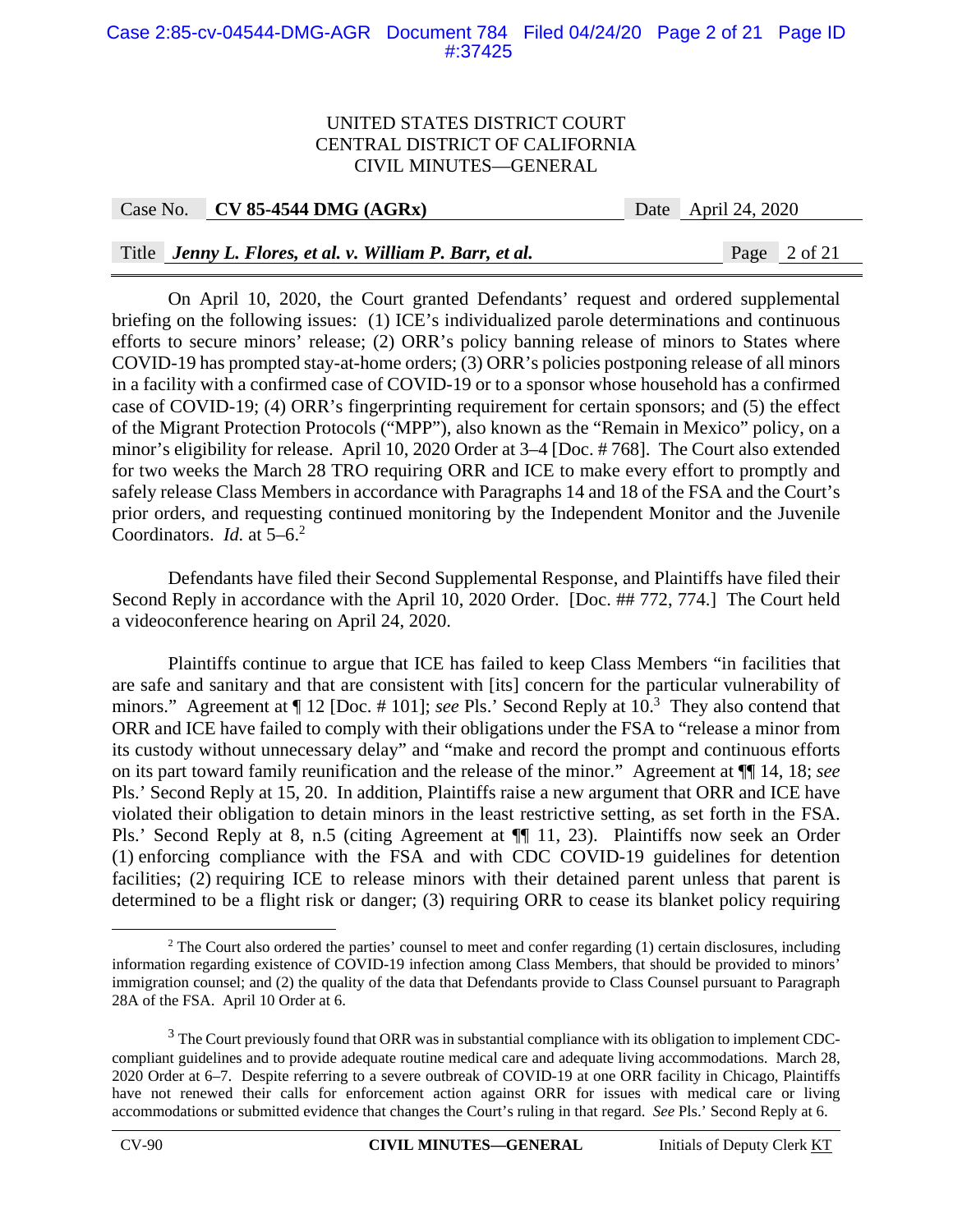#### Case 2:85-cv-04544-DMG-AGR Document 784 Filed 04/24/20 Page 2 of 21 Page ID #:37425

#### UNITED STATES DISTRICT COURT CENTRAL DISTRICT OF CALIFORNIA CIVIL MINUTES—GENERAL

Case No. **CV 85-4544 DMG (AGRx)** Date April 24, 2020

# Title *Jenny L. Flores, et al. v. William P. Barr, et al.* Page 2 of 21

 On April 10, 2020, the Court granted Defendants' request and ordered supplemental briefing on the following issues: (1) ICE's individualized parole determinations and continuous efforts to secure minors' release; (2) ORR's policy banning release of minors to States where COVID-19 has prompted stay-at-home orders; (3) ORR's policies postponing release of all minors in a facility with a confirmed case of COVID-19 or to a sponsor whose household has a confirmed case of COVID-19; (4) ORR's fingerprinting requirement for certain sponsors; and (5) the effect of the Migrant Protection Protocols ("MPP"), also known as the "Remain in Mexico" policy, on a minor's eligibility for release. April 10, 2020 Order at 3–4 [Doc. # 768]. The Court also extended for two weeks the March 28 TRO requiring ORR and ICE to make every effort to promptly and safely release Class Members in accordance with Paragraphs 14 and 18 of the FSA and the Court's prior orders, and requesting continued monitoring by the Independent Monitor and the Juvenile Coordinators. *Id.* at 5–6.<sup>2</sup>

Defendants have filed their Second Supplemental Response, and Plaintiffs have filed their Second Reply in accordance with the April 10, 2020 Order. [Doc. ## 772, 774.] The Court held a videoconference hearing on April 24, 2020.

Plaintiffs continue to argue that ICE has failed to keep Class Members "in facilities that are safe and sanitary and that are consistent with [its] concern for the particular vulnerability of minors." Agreement at  $\P$  12 [Doc. # 101]; *see* Pls.' Second Reply at 10.<sup>3</sup> They also contend that ORR and ICE have failed to comply with their obligations under the FSA to "release a minor from its custody without unnecessary delay" and "make and record the prompt and continuous efforts on its part toward family reunification and the release of the minor." Agreement at ¶¶ 14, 18; *see* Pls.' Second Reply at 15, 20. In addition, Plaintiffs raise a new argument that ORR and ICE have violated their obligation to detain minors in the least restrictive setting, as set forth in the FSA. Pls.' Second Reply at 8, n.5 (citing Agreement at ¶¶ 11, 23). Plaintiffs now seek an Order (1) enforcing compliance with the FSA and with CDC COVID-19 guidelines for detention facilities; (2) requiring ICE to release minors with their detained parent unless that parent is determined to be a flight risk or danger; (3) requiring ORR to cease its blanket policy requiring

 $\frac{1}{2}$  $2$  The Court also ordered the parties' counsel to meet and confer regarding (1) certain disclosures, including information regarding existence of COVID-19 infection among Class Members, that should be provided to minors' immigration counsel; and (2) the quality of the data that Defendants provide to Class Counsel pursuant to Paragraph 28A of the FSA. April 10 Order at 6.

 $3$  The Court previously found that ORR was in substantial compliance with its obligation to implement CDCcompliant guidelines and to provide adequate routine medical care and adequate living accommodations. March 28, 2020 Order at 6–7. Despite referring to a severe outbreak of COVID-19 at one ORR facility in Chicago, Plaintiffs have not renewed their calls for enforcement action against ORR for issues with medical care or living accommodations or submitted evidence that changes the Court's ruling in that regard. *See* Pls.' Second Reply at 6.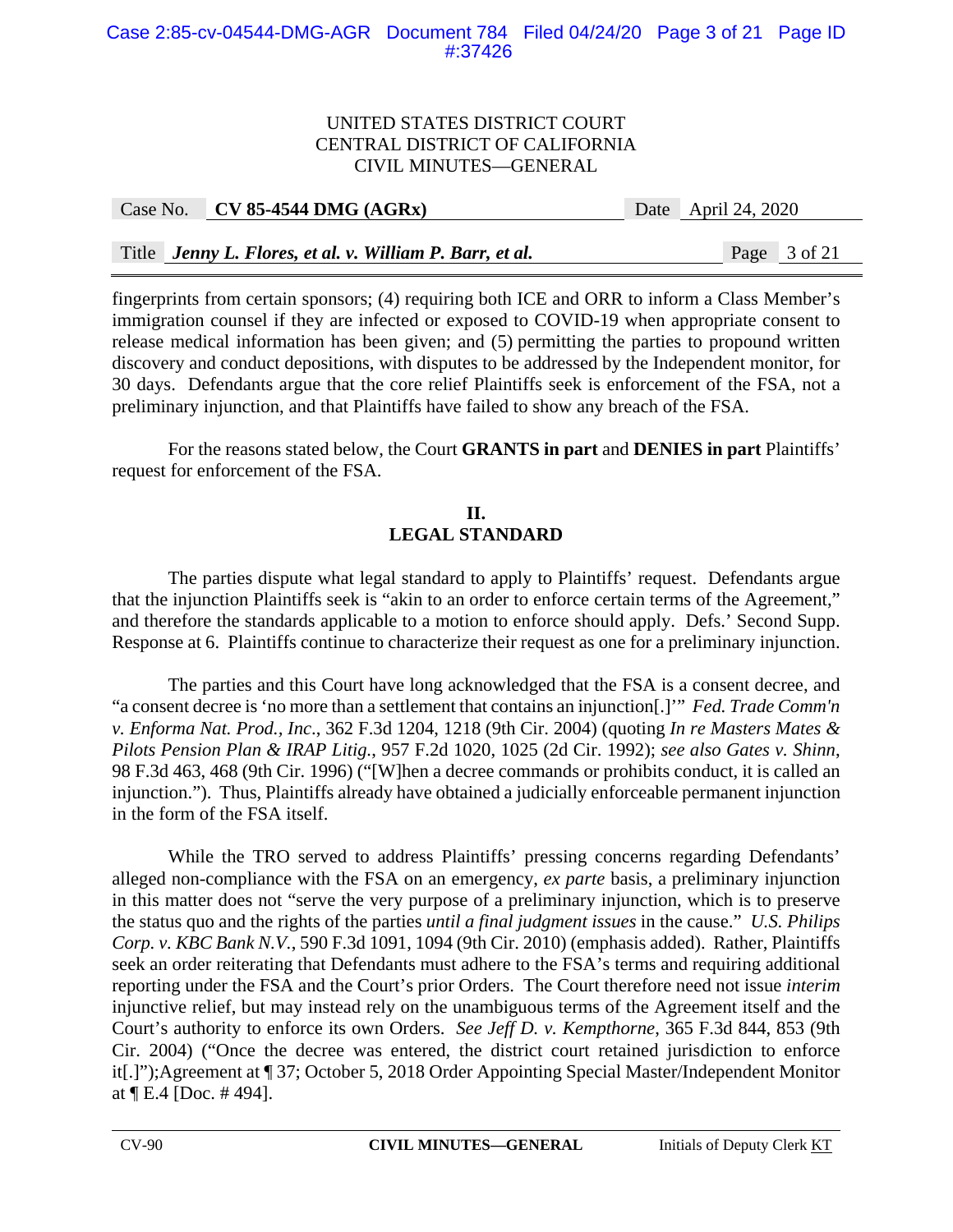### Case 2:85-cv-04544-DMG-AGR Document 784 Filed 04/24/20 Page 3 of 21 Page ID #:37426

### UNITED STATES DISTRICT COURT CENTRAL DISTRICT OF CALIFORNIA CIVIL MINUTES—GENERAL

| Case No. | $CV 85-4544 DMG (AGRx)$ | Date | April 24, 2020 |
|----------|-------------------------|------|----------------|
|          |                         |      |                |

Title *Jenny L. Flores, et al. v. William P. Barr, et al.* Page 3 of 21

fingerprints from certain sponsors; (4) requiring both ICE and ORR to inform a Class Member's immigration counsel if they are infected or exposed to COVID-19 when appropriate consent to release medical information has been given; and (5) permitting the parties to propound written discovery and conduct depositions, with disputes to be addressed by the Independent monitor, for 30 days. Defendants argue that the core relief Plaintiffs seek is enforcement of the FSA, not a preliminary injunction, and that Plaintiffs have failed to show any breach of the FSA.

For the reasons stated below, the Court **GRANTS in part** and **DENIES in part** Plaintiffs' request for enforcement of the FSA.

# **II. LEGAL STANDARD**

 The parties dispute what legal standard to apply to Plaintiffs' request. Defendants argue that the injunction Plaintiffs seek is "akin to an order to enforce certain terms of the Agreement," and therefore the standards applicable to a motion to enforce should apply. Defs.' Second Supp. Response at 6. Plaintiffs continue to characterize their request as one for a preliminary injunction.

 The parties and this Court have long acknowledged that the FSA is a consent decree, and "a consent decree is 'no more than a settlement that contains an injunction[.]'" *Fed. Trade Comm'n v. Enforma Nat. Prod., Inc*., 362 F.3d 1204, 1218 (9th Cir. 2004) (quoting *In re Masters Mates & Pilots Pension Plan & IRAP Litig.*, 957 F.2d 1020, 1025 (2d Cir. 1992); *see also Gates v. Shinn*, 98 F.3d 463, 468 (9th Cir. 1996) ("[W]hen a decree commands or prohibits conduct, it is called an injunction."). Thus, Plaintiffs already have obtained a judicially enforceable permanent injunction in the form of the FSA itself.

While the TRO served to address Plaintiffs' pressing concerns regarding Defendants' alleged non-compliance with the FSA on an emergency, *ex parte* basis, a preliminary injunction in this matter does not "serve the very purpose of a preliminary injunction, which is to preserve the status quo and the rights of the parties *until a final judgment issues* in the cause." *U.S. Philips Corp. v. KBC Bank N.V.*, 590 F.3d 1091, 1094 (9th Cir. 2010) (emphasis added). Rather, Plaintiffs seek an order reiterating that Defendants must adhere to the FSA's terms and requiring additional reporting under the FSA and the Court's prior Orders. The Court therefore need not issue *interim* injunctive relief, but may instead rely on the unambiguous terms of the Agreement itself and the Court's authority to enforce its own Orders. *See Jeff D. v. Kempthorne*, 365 F.3d 844, 853 (9th Cir. 2004) ("Once the decree was entered, the district court retained jurisdiction to enforce it[.]");Agreement at ¶ 37; October 5, 2018 Order Appointing Special Master/Independent Monitor at ¶ E.4 [Doc. # 494].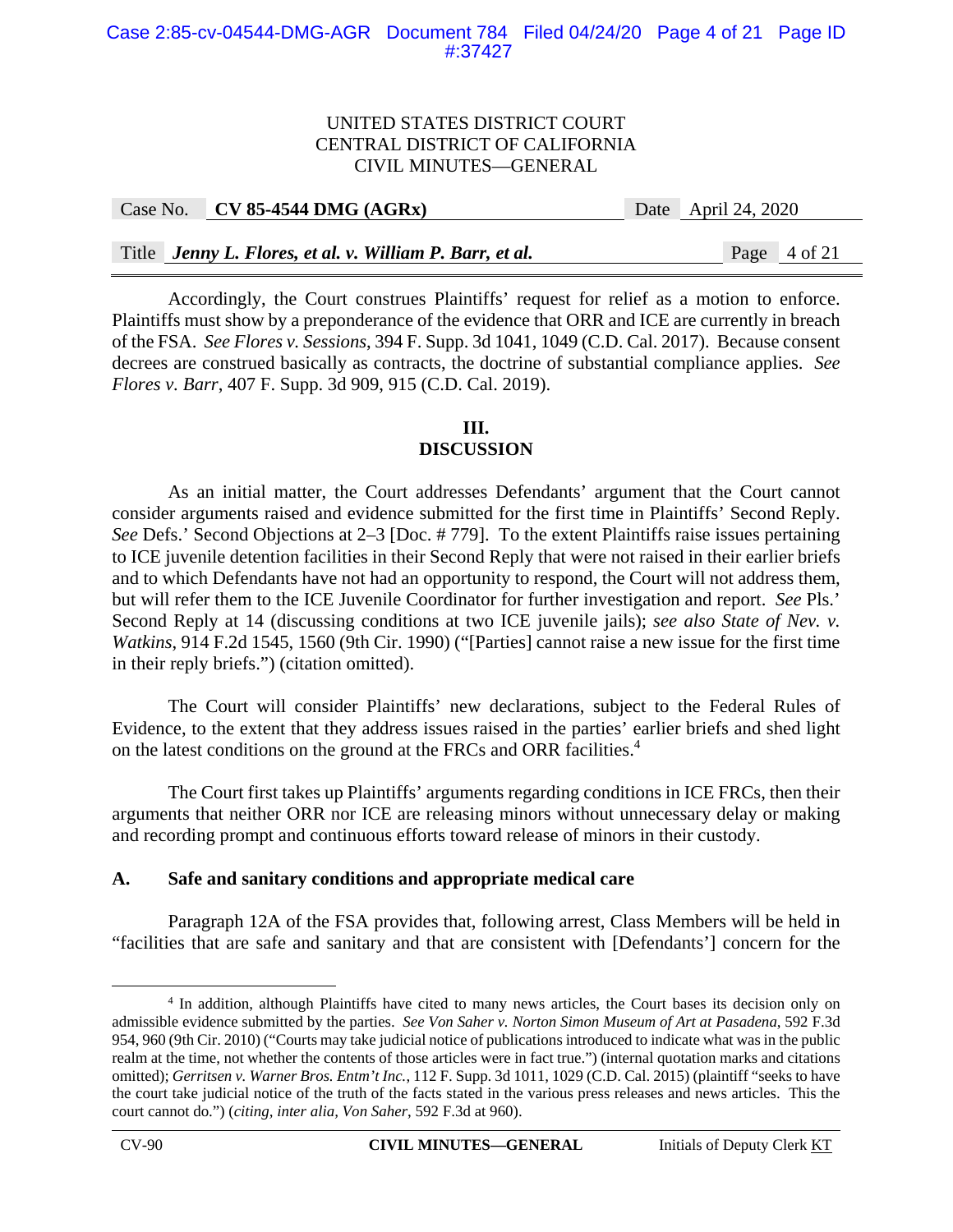|  | Case No. CV 85-4544 DMG $(AGRx)$                         | Date April 24, 2020 |
|--|----------------------------------------------------------|---------------------|
|  |                                                          |                     |
|  | Title Jenny L. Flores, et al. v. William P. Barr, et al. | Page $4$ of 21      |

 Accordingly, the Court construes Plaintiffs' request for relief as a motion to enforce. Plaintiffs must show by a preponderance of the evidence that ORR and ICE are currently in breach of the FSA. *See Flores v. Sessions*, 394 F. Supp. 3d 1041, 1049 (C.D. Cal. 2017). Because consent decrees are construed basically as contracts, the doctrine of substantial compliance applies. *See Flores v. Barr*, 407 F. Supp. 3d 909, 915 (C.D. Cal. 2019).

### **III. DISCUSSION**

 As an initial matter, the Court addresses Defendants' argument that the Court cannot consider arguments raised and evidence submitted for the first time in Plaintiffs' Second Reply. *See* Defs.' Second Objections at 2–3 [Doc. # 779]. To the extent Plaintiffs raise issues pertaining to ICE juvenile detention facilities in their Second Reply that were not raised in their earlier briefs and to which Defendants have not had an opportunity to respond, the Court will not address them, but will refer them to the ICE Juvenile Coordinator for further investigation and report. *See* Pls.' Second Reply at 14 (discussing conditions at two ICE juvenile jails); *see also State of Nev. v. Watkins*, 914 F.2d 1545, 1560 (9th Cir. 1990) ("[Parties] cannot raise a new issue for the first time in their reply briefs.") (citation omitted).

The Court will consider Plaintiffs' new declarations, subject to the Federal Rules of Evidence, to the extent that they address issues raised in the parties' earlier briefs and shed light on the latest conditions on the ground at the FRCs and ORR facilities.<sup>4</sup>

The Court first takes up Plaintiffs' arguments regarding conditions in ICE FRCs, then their arguments that neither ORR nor ICE are releasing minors without unnecessary delay or making and recording prompt and continuous efforts toward release of minors in their custody.

# **A. Safe and sanitary conditions and appropriate medical care**

Paragraph 12A of the FSA provides that, following arrest, Class Members will be held in "facilities that are safe and sanitary and that are consistent with [Defendants'] concern for the

 $\overline{a}$ <sup>4</sup> In addition, although Plaintiffs have cited to many news articles, the Court bases its decision only on admissible evidence submitted by the parties. *See Von Saher v. Norton Simon Museum of Art at Pasadena*, 592 F.3d 954, 960 (9th Cir. 2010) ("Courts may take judicial notice of publications introduced to indicate what was in the public realm at the time, not whether the contents of those articles were in fact true.") (internal quotation marks and citations omitted); *Gerritsen v. Warner Bros. Entm't Inc.*, 112 F. Supp. 3d 1011, 1029 (C.D. Cal. 2015) (plaintiff "seeks to have the court take judicial notice of the truth of the facts stated in the various press releases and news articles. This the court cannot do.") (*citing, inter alia, Von Saher*, 592 F.3d at 960).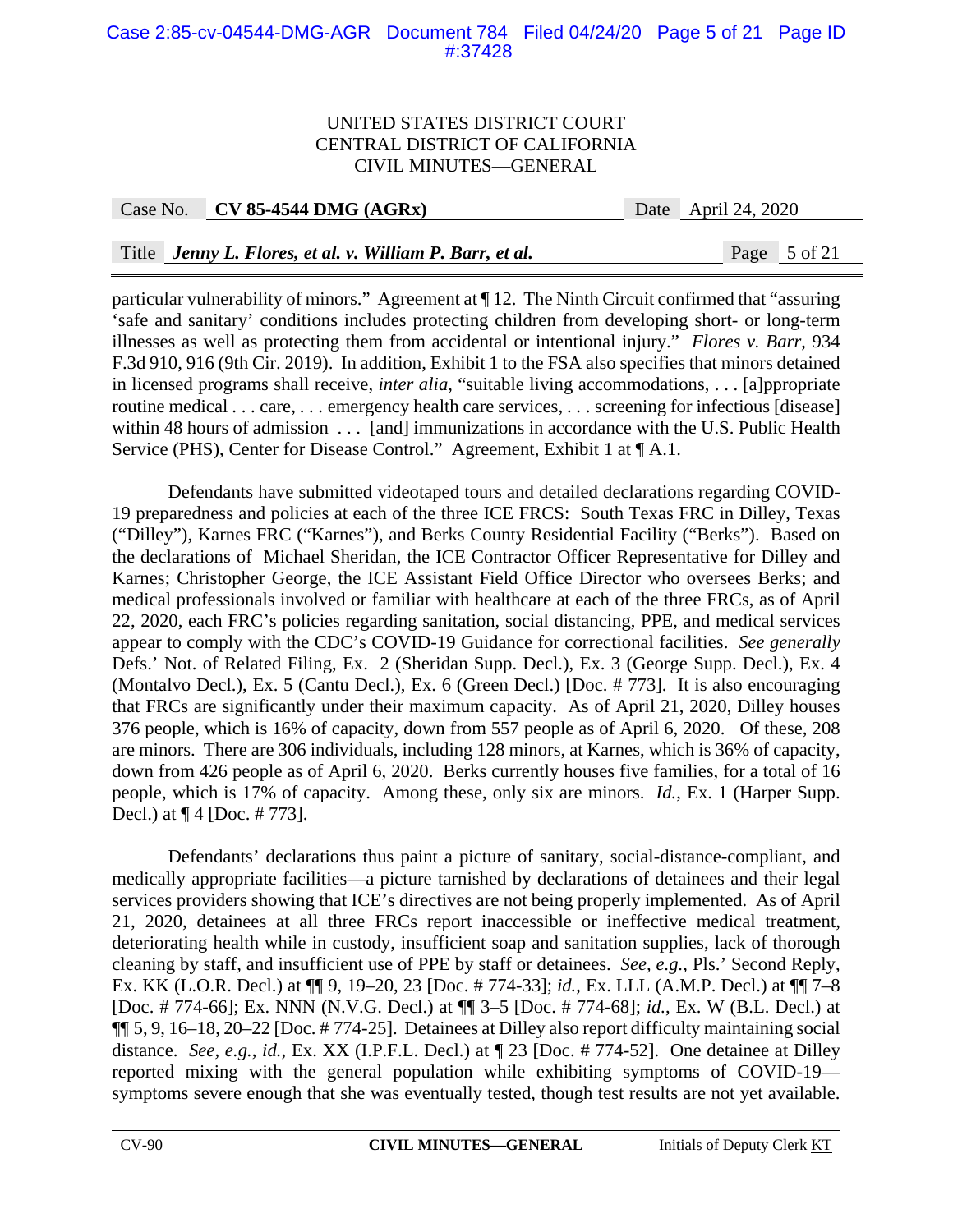## Case 2:85-cv-04544-DMG-AGR Document 784 Filed 04/24/20 Page 5 of 21 Page ID #:37428

#### UNITED STATES DISTRICT COURT CENTRAL DISTRICT OF CALIFORNIA CIVIL MINUTES—GENERAL

Case No. **CV 85-4544 DMG (AGRx)** Date April 24, 2020

# Title *Jenny L. Flores, et al. v. William P. Barr, et al.* Page 5 of 21

particular vulnerability of minors." Agreement at ¶ 12. The Ninth Circuit confirmed that "assuring 'safe and sanitary' conditions includes protecting children from developing short- or long-term illnesses as well as protecting them from accidental or intentional injury." *Flores v. Barr*, 934 F.3d 910, 916 (9th Cir. 2019). In addition, Exhibit 1 to the FSA also specifies that minors detained in licensed programs shall receive, *inter alia*, "suitable living accommodations, . . . [a]ppropriate routine medical . . . care, . . . emergency health care services, . . . screening for infectious [disease] within 48 hours of admission . . . [and] immunizations in accordance with the U.S. Public Health Service (PHS), Center for Disease Control." Agreement, Exhibit 1 at  $\P$ A.1.

Defendants have submitted videotaped tours and detailed declarations regarding COVID-19 preparedness and policies at each of the three ICE FRCS: South Texas FRC in Dilley, Texas ("Dilley"), Karnes FRC ("Karnes"), and Berks County Residential Facility ("Berks"). Based on the declarations of Michael Sheridan, the ICE Contractor Officer Representative for Dilley and Karnes; Christopher George, the ICE Assistant Field Office Director who oversees Berks; and medical professionals involved or familiar with healthcare at each of the three FRCs, as of April 22, 2020, each FRC's policies regarding sanitation, social distancing, PPE, and medical services appear to comply with the CDC's COVID-19 Guidance for correctional facilities. *See generally* Defs.' Not. of Related Filing, Ex. 2 (Sheridan Supp. Decl.), Ex. 3 (George Supp. Decl.), Ex. 4 (Montalvo Decl.), Ex. 5 (Cantu Decl.), Ex. 6 (Green Decl.) [Doc. # 773]. It is also encouraging that FRCs are significantly under their maximum capacity. As of April 21, 2020, Dilley houses 376 people, which is 16% of capacity, down from 557 people as of April 6, 2020. Of these, 208 are minors. There are 306 individuals, including 128 minors, at Karnes, which is 36% of capacity, down from 426 people as of April 6, 2020. Berks currently houses five families, for a total of 16 people, which is 17% of capacity. Among these, only six are minors. *Id.*, Ex. 1 (Harper Supp. Decl.) at ¶ 4 [Doc. # 773].

Defendants' declarations thus paint a picture of sanitary, social-distance-compliant, and medically appropriate facilities—a picture tarnished by declarations of detainees and their legal services providers showing that ICE's directives are not being properly implemented. As of April 21, 2020, detainees at all three FRCs report inaccessible or ineffective medical treatment, deteriorating health while in custody, insufficient soap and sanitation supplies, lack of thorough cleaning by staff, and insufficient use of PPE by staff or detainees. *See, e.g.*, Pls.' Second Reply, Ex. KK (L.O.R. Decl.) at ¶¶ 9, 19–20, 23 [Doc. # 774-33]; *id.*, Ex. LLL (A.M.P. Decl.) at ¶¶ 7–8 [Doc. # 774-66]; Ex. NNN (N.V.G. Decl.) at ¶¶ 3–5 [Doc. # 774-68]; *id.*, Ex. W (B.L. Decl.) at ¶¶ 5, 9, 16–18, 20–22 [Doc. # 774-25]. Detainees at Dilley also report difficulty maintaining social distance. *See, e.g.*, *id.*, Ex. XX (I.P.F.L. Decl.) at ¶ 23 [Doc. # 774-52]. One detainee at Dilley reported mixing with the general population while exhibiting symptoms of COVID-19 symptoms severe enough that she was eventually tested, though test results are not yet available.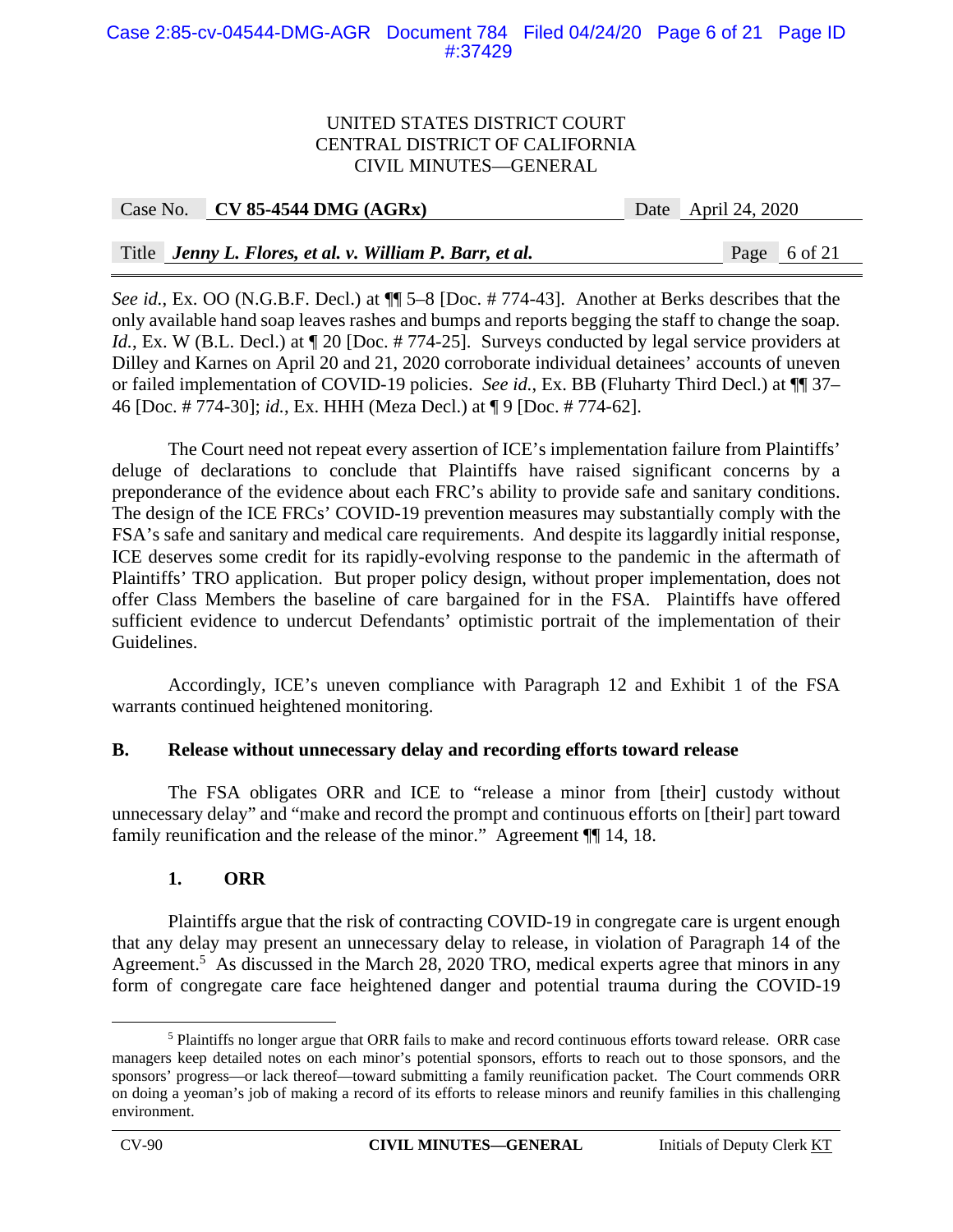## Case 2:85-cv-04544-DMG-AGR Document 784 Filed 04/24/20 Page 6 of 21 Page ID #:37429

#### UNITED STATES DISTRICT COURT CENTRAL DISTRICT OF CALIFORNIA CIVIL MINUTES—GENERAL

| Case No. | $\sim$ CV 85-4544 DMG (AGRx) | Date April 24, 2020 |
|----------|------------------------------|---------------------|
|          |                              |                     |

# Title *Jenny L. Flores, et al. v. William P. Barr, et al.* Page 6 of 21

*See id.*, Ex. OO (N.G.B.F. Decl.) at ¶¶ 5–8 [Doc. # 774-43]. Another at Berks describes that the only available hand soap leaves rashes and bumps and reports begging the staff to change the soap. *Id.*, Ex. W (B.L. Decl.) at  $\llbracket 20 \text{ } [\text{Doc.} \# 774-25]$ . Surveys conducted by legal service providers at Dilley and Karnes on April 20 and 21, 2020 corroborate individual detainees' accounts of uneven or failed implementation of COVID-19 policies. *See id.*, Ex. BB (Fluharty Third Decl.) at ¶¶ 37– 46 [Doc. # 774-30]; *id.*, Ex. HHH (Meza Decl.) at ¶ 9 [Doc. # 774-62].

The Court need not repeat every assertion of ICE's implementation failure from Plaintiffs' deluge of declarations to conclude that Plaintiffs have raised significant concerns by a preponderance of the evidence about each FRC's ability to provide safe and sanitary conditions. The design of the ICE FRCs' COVID-19 prevention measures may substantially comply with the FSA's safe and sanitary and medical care requirements. And despite its laggardly initial response, ICE deserves some credit for its rapidly-evolving response to the pandemic in the aftermath of Plaintiffs' TRO application. But proper policy design, without proper implementation, does not offer Class Members the baseline of care bargained for in the FSA. Plaintiffs have offered sufficient evidence to undercut Defendants' optimistic portrait of the implementation of their Guidelines.

Accordingly, ICE's uneven compliance with Paragraph 12 and Exhibit 1 of the FSA warrants continued heightened monitoring.

#### **B. Release without unnecessary delay and recording efforts toward release**

The FSA obligates ORR and ICE to "release a minor from [their] custody without unnecessary delay" and "make and record the prompt and continuous efforts on [their] part toward family reunification and the release of the minor." Agreement  $\P$  14, 18.

# **1. ORR**

Plaintiffs argue that the risk of contracting COVID-19 in congregate care is urgent enough that any delay may present an unnecessary delay to release, in violation of Paragraph 14 of the Agreement.<sup>5</sup> As discussed in the March 28, 2020 TRO, medical experts agree that minors in any form of congregate care face heightened danger and potential trauma during the COVID-19

 $\frac{1}{5}$ <sup>5</sup> Plaintiffs no longer argue that ORR fails to make and record continuous efforts toward release. ORR case managers keep detailed notes on each minor's potential sponsors, efforts to reach out to those sponsors, and the sponsors' progress—or lack thereof—toward submitting a family reunification packet. The Court commends ORR on doing a yeoman's job of making a record of its efforts to release minors and reunify families in this challenging environment.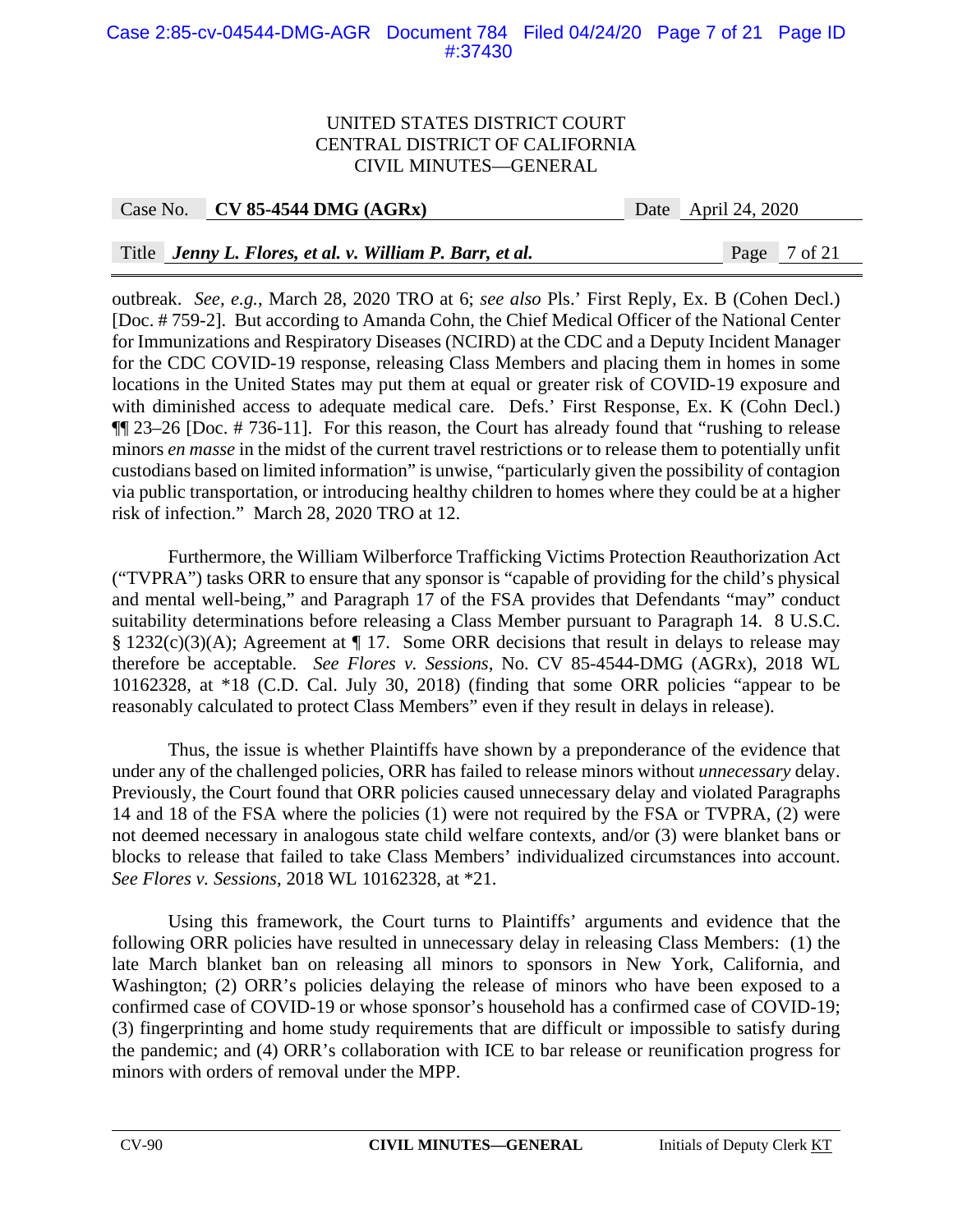# Case 2:85-cv-04544-DMG-AGR Document 784 Filed 04/24/20 Page 7 of 21 Page ID #:37430

### UNITED STATES DISTRICT COURT CENTRAL DISTRICT OF CALIFORNIA CIVIL MINUTES—GENERAL

| <b>CV 85-4544 DMG (AGRx)</b> |
|------------------------------|
|------------------------------|

Date April 24, 2020

# Title *Jenny L. Flores, et al. v. William P. Barr, et al.* Page 7 of 21

outbreak. *See, e.g.*, March 28, 2020 TRO at 6; *see also* Pls.' First Reply, Ex. B (Cohen Decl.) [Doc. # 759-2]. But according to Amanda Cohn, the Chief Medical Officer of the National Center for Immunizations and Respiratory Diseases (NCIRD) at the CDC and a Deputy Incident Manager for the CDC COVID-19 response, releasing Class Members and placing them in homes in some locations in the United States may put them at equal or greater risk of COVID-19 exposure and with diminished access to adequate medical care. Defs.' First Response, Ex. K (Cohn Decl.) ¶¶ 23–26 [Doc. # 736-11]. For this reason, the Court has already found that "rushing to release minors *en masse* in the midst of the current travel restrictions or to release them to potentially unfit custodians based on limited information" is unwise, "particularly given the possibility of contagion via public transportation, or introducing healthy children to homes where they could be at a higher risk of infection." March 28, 2020 TRO at 12.

Furthermore, the William Wilberforce Trafficking Victims Protection Reauthorization Act ("TVPRA") tasks ORR to ensure that any sponsor is "capable of providing for the child's physical and mental well-being," and Paragraph 17 of the FSA provides that Defendants "may" conduct suitability determinations before releasing a Class Member pursuant to Paragraph 14. 8 U.S.C. § 1232(c)(3)(A); Agreement at ¶ 17. Some ORR decisions that result in delays to release may therefore be acceptable. *See Flores v. Sessions*, No. CV 85-4544-DMG (AGRx), 2018 WL 10162328, at \*18 (C.D. Cal. July 30, 2018) (finding that some ORR policies "appear to be reasonably calculated to protect Class Members" even if they result in delays in release).

 Thus, the issue is whether Plaintiffs have shown by a preponderance of the evidence that under any of the challenged policies, ORR has failed to release minors without *unnecessary* delay. Previously, the Court found that ORR policies caused unnecessary delay and violated Paragraphs 14 and 18 of the FSA where the policies (1) were not required by the FSA or TVPRA, (2) were not deemed necessary in analogous state child welfare contexts, and/or (3) were blanket bans or blocks to release that failed to take Class Members' individualized circumstances into account. *See Flores v. Sessions*, 2018 WL 10162328, at \*21.

Using this framework, the Court turns to Plaintiffs' arguments and evidence that the following ORR policies have resulted in unnecessary delay in releasing Class Members: (1) the late March blanket ban on releasing all minors to sponsors in New York, California, and Washington; (2) ORR's policies delaying the release of minors who have been exposed to a confirmed case of COVID-19 or whose sponsor's household has a confirmed case of COVID-19; (3) fingerprinting and home study requirements that are difficult or impossible to satisfy during the pandemic; and (4) ORR's collaboration with ICE to bar release or reunification progress for minors with orders of removal under the MPP.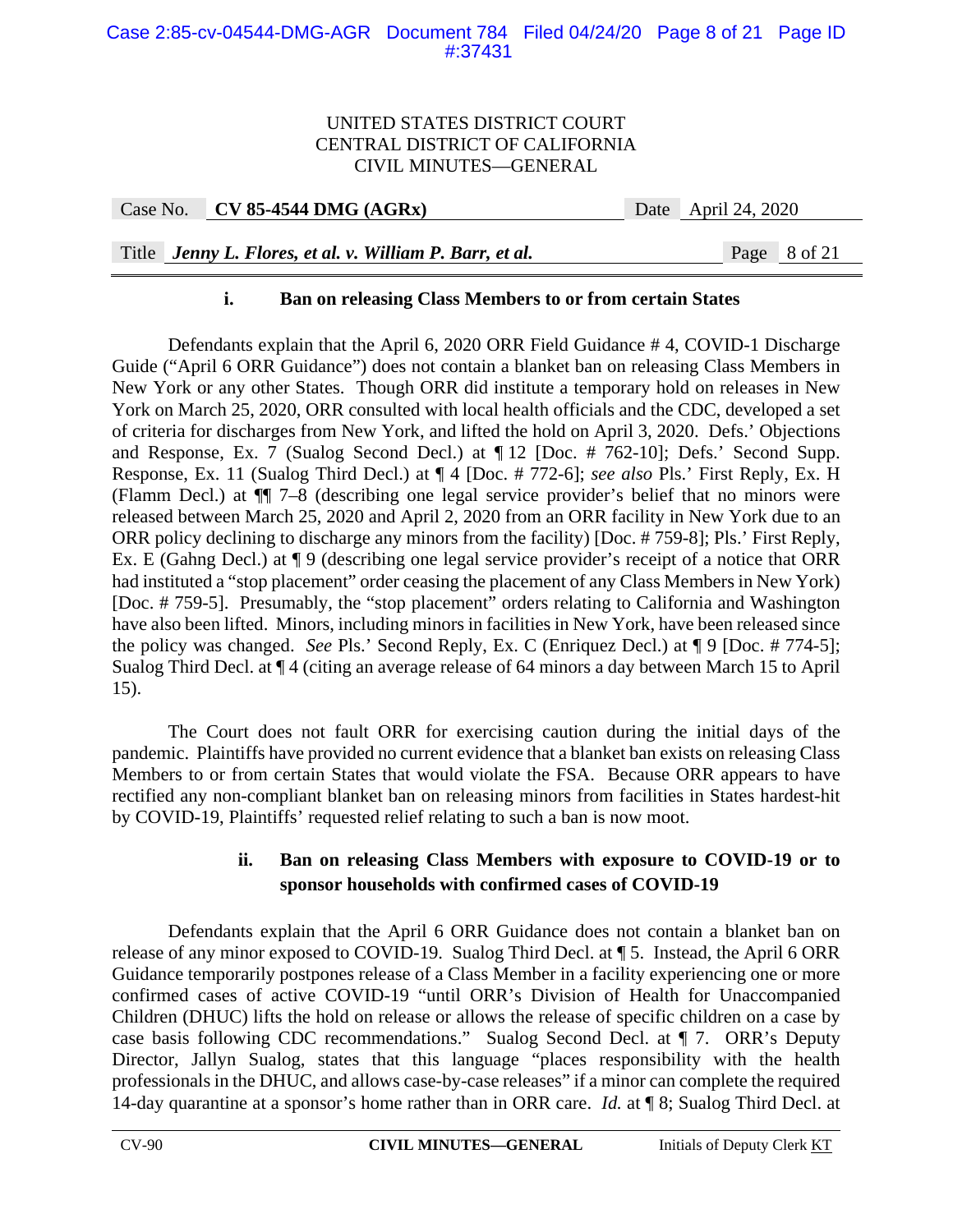| $CV 85-4544 DMG (AGRx)$<br>Case No. |
|-------------------------------------|
|-------------------------------------|

ate April 24, 2020

# Title *Jenny L. Flores, et al. v. William P. Barr, et al.* Page 8 of 21

# **i. Ban on releasing Class Members to or from certain States**

Defendants explain that the April 6, 2020 ORR Field Guidance # 4, COVID-1 Discharge Guide ("April 6 ORR Guidance") does not contain a blanket ban on releasing Class Members in New York or any other States. Though ORR did institute a temporary hold on releases in New York on March 25, 2020, ORR consulted with local health officials and the CDC, developed a set of criteria for discharges from New York, and lifted the hold on April 3, 2020. Defs.' Objections and Response, Ex. 7 (Sualog Second Decl.) at ¶ 12 [Doc. # 762-10]; Defs.' Second Supp. Response, Ex. 11 (Sualog Third Decl.) at ¶ 4 [Doc. # 772-6]; *see also* Pls.' First Reply, Ex. H (Flamm Decl.) at ¶¶ 7–8 (describing one legal service provider's belief that no minors were released between March 25, 2020 and April 2, 2020 from an ORR facility in New York due to an ORR policy declining to discharge any minors from the facility) [Doc. # 759-8]; Pls.' First Reply, Ex. E (Gahng Decl.) at ¶ 9 (describing one legal service provider's receipt of a notice that ORR had instituted a "stop placement" order ceasing the placement of any Class Members in New York) [Doc. # 759-5]. Presumably, the "stop placement" orders relating to California and Washington have also been lifted. Minors, including minors in facilities in New York, have been released since the policy was changed. *See* Pls.' Second Reply, Ex. C (Enriquez Decl.) at ¶ 9 [Doc. # 774-5]; Sualog Third Decl. at ¶ 4 (citing an average release of 64 minors a day between March 15 to April 15).

The Court does not fault ORR for exercising caution during the initial days of the pandemic. Plaintiffs have provided no current evidence that a blanket ban exists on releasing Class Members to or from certain States that would violate the FSA. Because ORR appears to have rectified any non-compliant blanket ban on releasing minors from facilities in States hardest-hit by COVID-19, Plaintiffs' requested relief relating to such a ban is now moot.

# **ii. Ban on releasing Class Members with exposure to COVID-19 or to sponsor households with confirmed cases of COVID-19**

Defendants explain that the April 6 ORR Guidance does not contain a blanket ban on release of any minor exposed to COVID-19. Sualog Third Decl. at ¶ 5. Instead, the April 6 ORR Guidance temporarily postpones release of a Class Member in a facility experiencing one or more confirmed cases of active COVID-19 "until ORR's Division of Health for Unaccompanied Children (DHUC) lifts the hold on release or allows the release of specific children on a case by case basis following CDC recommendations." Sualog Second Decl. at ¶ 7. ORR's Deputy Director, Jallyn Sualog, states that this language "places responsibility with the health professionals in the DHUC, and allows case-by-case releases" if a minor can complete the required 14-day quarantine at a sponsor's home rather than in ORR care. *Id.* at ¶ 8; Sualog Third Decl. at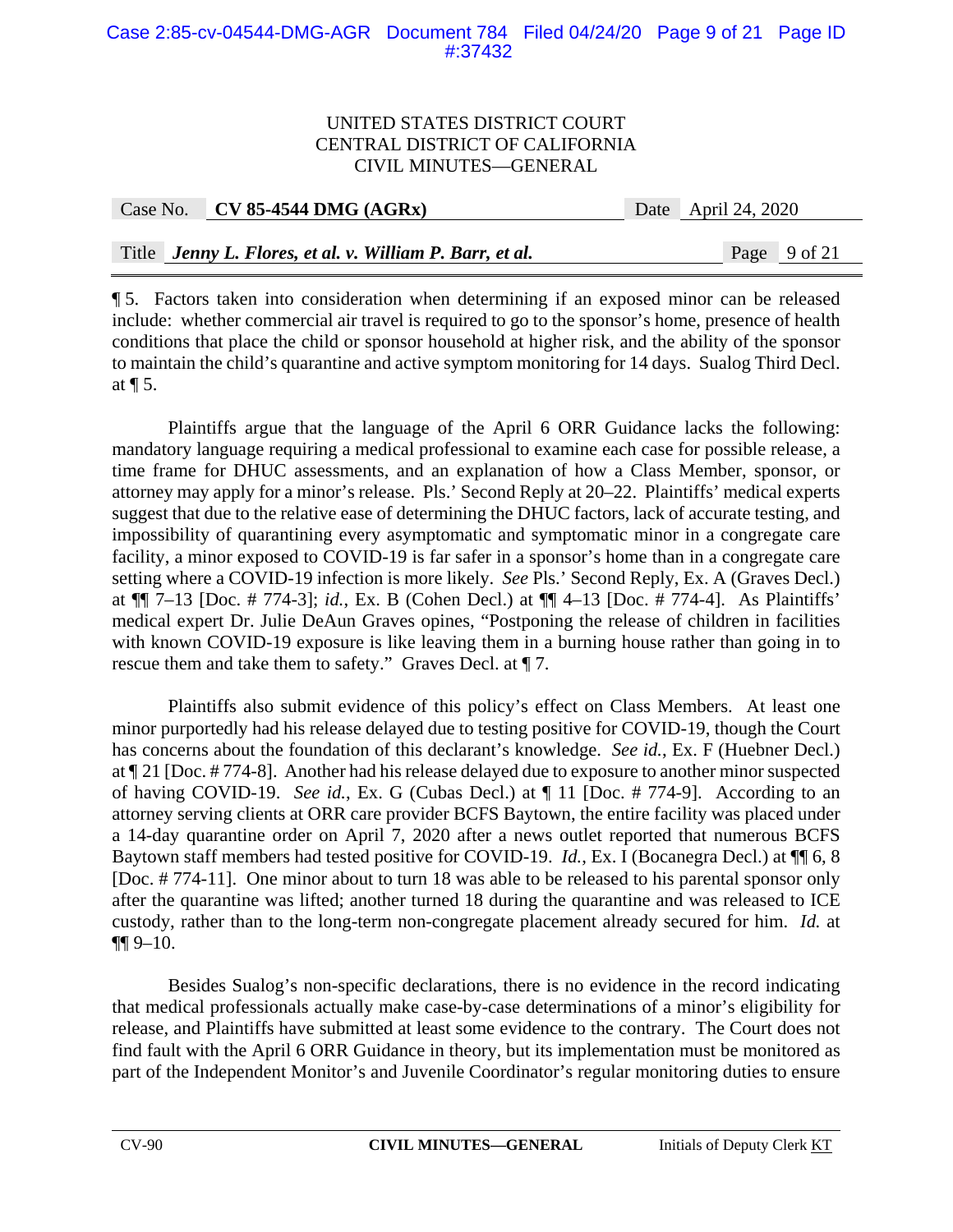|  | Case No. CV 85-4544 DMG $(AGRx)$                         | Date April 24, 2020 |
|--|----------------------------------------------------------|---------------------|
|  |                                                          |                     |
|  | Title Jenny L. Flores, et al. v. William P. Barr, et al. | Page 9 of 21        |

¶ 5. Factors taken into consideration when determining if an exposed minor can be released include: whether commercial air travel is required to go to the sponsor's home, presence of health conditions that place the child or sponsor household at higher risk, and the ability of the sponsor to maintain the child's quarantine and active symptom monitoring for 14 days. Sualog Third Decl. at ¶ 5.

Plaintiffs argue that the language of the April 6 ORR Guidance lacks the following: mandatory language requiring a medical professional to examine each case for possible release, a time frame for DHUC assessments, and an explanation of how a Class Member, sponsor, or attorney may apply for a minor's release. Pls.' Second Reply at 20–22. Plaintiffs' medical experts suggest that due to the relative ease of determining the DHUC factors, lack of accurate testing, and impossibility of quarantining every asymptomatic and symptomatic minor in a congregate care facility, a minor exposed to COVID-19 is far safer in a sponsor's home than in a congregate care setting where a COVID-19 infection is more likely. *See* Pls.' Second Reply, Ex. A (Graves Decl.) at ¶¶ 7–13 [Doc. # 774-3]; *id.*, Ex. B (Cohen Decl.) at ¶¶ 4–13 [Doc. # 774-4]. As Plaintiffs' medical expert Dr. Julie DeAun Graves opines, "Postponing the release of children in facilities with known COVID-19 exposure is like leaving them in a burning house rather than going in to rescue them and take them to safety." Graves Decl. at ¶ 7.

Plaintiffs also submit evidence of this policy's effect on Class Members. At least one minor purportedly had his release delayed due to testing positive for COVID-19, though the Court has concerns about the foundation of this declarant's knowledge. *See id.*, Ex. F (Huebner Decl.) at ¶ 21 [Doc. # 774-8]. Another had his release delayed due to exposure to another minor suspected of having COVID-19. *See id.*, Ex. G (Cubas Decl.) at ¶ 11 [Doc. # 774-9]. According to an attorney serving clients at ORR care provider BCFS Baytown, the entire facility was placed under a 14-day quarantine order on April 7, 2020 after a news outlet reported that numerous BCFS Baytown staff members had tested positive for COVID-19. *Id.*, Ex. I (Bocanegra Decl.) at ¶¶ 6, 8 [Doc. # 774-11]. One minor about to turn 18 was able to be released to his parental sponsor only after the quarantine was lifted; another turned 18 during the quarantine and was released to ICE custody, rather than to the long-term non-congregate placement already secured for him. *Id.* at ¶¶ 9–10.

 Besides Sualog's non-specific declarations, there is no evidence in the record indicating that medical professionals actually make case-by-case determinations of a minor's eligibility for release, and Plaintiffs have submitted at least some evidence to the contrary. The Court does not find fault with the April 6 ORR Guidance in theory, but its implementation must be monitored as part of the Independent Monitor's and Juvenile Coordinator's regular monitoring duties to ensure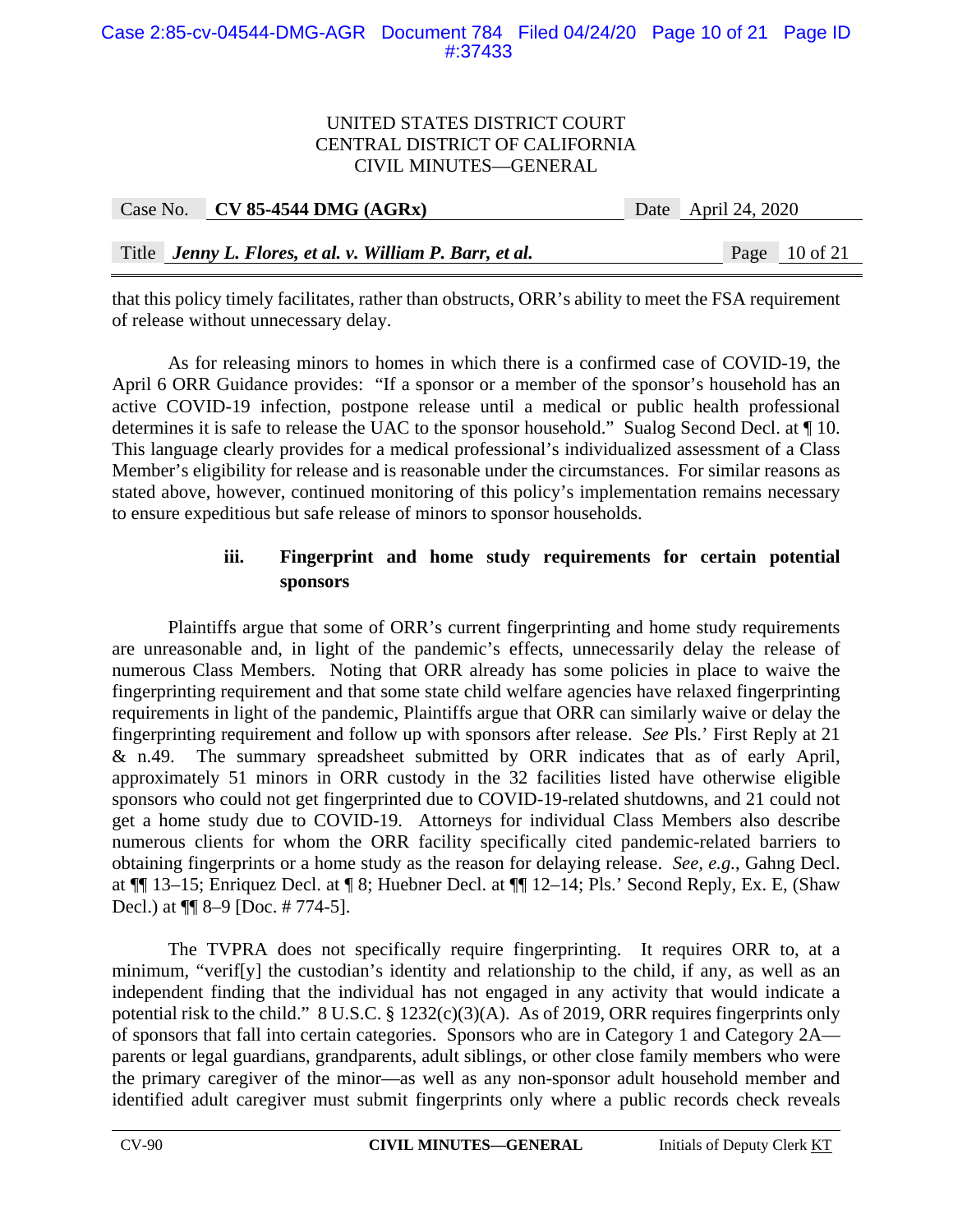|  | Case No. CV 85-4544 DMG $(AGRx)$ |                                                          |  | Date April 24, 2020 |                 |
|--|----------------------------------|----------------------------------------------------------|--|---------------------|-----------------|
|  |                                  |                                                          |  |                     |                 |
|  |                                  | Title Jenny L. Flores, et al. v. William P. Barr, et al. |  |                     | Page $10$ of 21 |

that this policy timely facilitates, rather than obstructs, ORR's ability to meet the FSA requirement of release without unnecessary delay.

As for releasing minors to homes in which there is a confirmed case of COVID-19, the April 6 ORR Guidance provides: "If a sponsor or a member of the sponsor's household has an active COVID-19 infection, postpone release until a medical or public health professional determines it is safe to release the UAC to the sponsor household." Sualog Second Decl. at ¶ 10. This language clearly provides for a medical professional's individualized assessment of a Class Member's eligibility for release and is reasonable under the circumstances. For similar reasons as stated above, however, continued monitoring of this policy's implementation remains necessary to ensure expeditious but safe release of minors to sponsor households.

# **iii. Fingerprint and home study requirements for certain potential sponsors**

Plaintiffs argue that some of ORR's current fingerprinting and home study requirements are unreasonable and, in light of the pandemic's effects, unnecessarily delay the release of numerous Class Members. Noting that ORR already has some policies in place to waive the fingerprinting requirement and that some state child welfare agencies have relaxed fingerprinting requirements in light of the pandemic, Plaintiffs argue that ORR can similarly waive or delay the fingerprinting requirement and follow up with sponsors after release. *See* Pls.' First Reply at 21 & n.49. The summary spreadsheet submitted by ORR indicates that as of early April, approximately 51 minors in ORR custody in the 32 facilities listed have otherwise eligible sponsors who could not get fingerprinted due to COVID-19-related shutdowns, and 21 could not get a home study due to COVID-19. Attorneys for individual Class Members also describe numerous clients for whom the ORR facility specifically cited pandemic-related barriers to obtaining fingerprints or a home study as the reason for delaying release. *See, e.g.*, Gahng Decl. at ¶¶ 13–15; Enriquez Decl. at ¶ 8; Huebner Decl. at ¶¶ 12–14; Pls.' Second Reply, Ex. E, (Shaw Decl.) at ¶¶ 8–9 [Doc. # 774-5].

The TVPRA does not specifically require fingerprinting. It requires ORR to, at a minimum, "verif[y] the custodian's identity and relationship to the child, if any, as well as an independent finding that the individual has not engaged in any activity that would indicate a potential risk to the child." 8 U.S.C. § 1232(c)(3)(A). As of 2019, ORR requires fingerprints only of sponsors that fall into certain categories. Sponsors who are in Category 1 and Category 2A parents or legal guardians, grandparents, adult siblings, or other close family members who were the primary caregiver of the minor—as well as any non-sponsor adult household member and identified adult caregiver must submit fingerprints only where a public records check reveals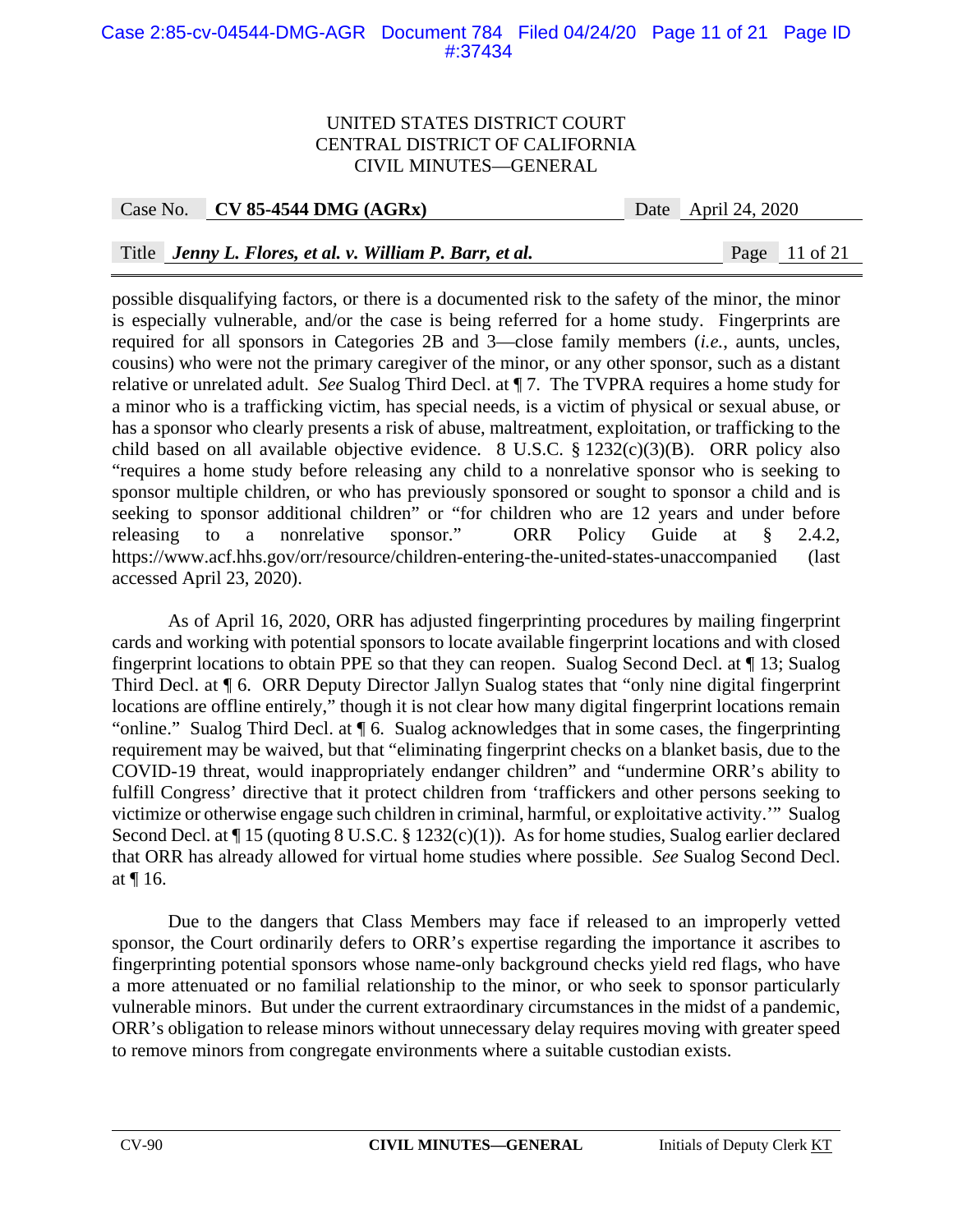## Case 2:85-cv-04544-DMG-AGR Document 784 Filed 04/24/20 Page 11 of 21 Page ID #:37434

#### UNITED STATES DISTRICT COURT CENTRAL DISTRICT OF CALIFORNIA CIVIL MINUTES—GENERAL

| Case No. | <b>CV 85-4544 DMG (AGRx)</b> |  |
|----------|------------------------------|--|
|----------|------------------------------|--|

Date April 24, 2020

# Title *Jenny L. Flores, et al. v. William P. Barr, et al.* Page 11 of 21

possible disqualifying factors, or there is a documented risk to the safety of the minor, the minor is especially vulnerable, and/or the case is being referred for a home study. Fingerprints are required for all sponsors in Categories 2B and 3—close family members (*i.e.*, aunts, uncles, cousins) who were not the primary caregiver of the minor, or any other sponsor, such as a distant relative or unrelated adult. *See* Sualog Third Decl. at ¶ 7. The TVPRA requires a home study for a minor who is a trafficking victim, has special needs, is a victim of physical or sexual abuse, or has a sponsor who clearly presents a risk of abuse, maltreatment, exploitation, or trafficking to the child based on all available objective evidence. 8 U.S.C. § 1232(c)(3)(B). ORR policy also "requires a home study before releasing any child to a nonrelative sponsor who is seeking to sponsor multiple children, or who has previously sponsored or sought to sponsor a child and is seeking to sponsor additional children" or "for children who are 12 years and under before releasing to a nonrelative sponsor." ORR Policy Guide at § 2.4.2, https://www.acf.hhs.gov/orr/resource/children-entering-the-united-states-unaccompanied (last accessed April 23, 2020).

 As of April 16, 2020, ORR has adjusted fingerprinting procedures by mailing fingerprint cards and working with potential sponsors to locate available fingerprint locations and with closed fingerprint locations to obtain PPE so that they can reopen. Sualog Second Decl. at ¶ 13; Sualog Third Decl. at ¶ 6. ORR Deputy Director Jallyn Sualog states that "only nine digital fingerprint locations are offline entirely," though it is not clear how many digital fingerprint locations remain "online." Sualog Third Decl. at ¶ 6. Sualog acknowledges that in some cases, the fingerprinting requirement may be waived, but that "eliminating fingerprint checks on a blanket basis, due to the COVID-19 threat, would inappropriately endanger children" and "undermine ORR's ability to fulfill Congress' directive that it protect children from 'traffickers and other persons seeking to victimize or otherwise engage such children in criminal, harmful, or exploitative activity.'" Sualog Second Decl. at  $\P$  15 (quoting 8 U.S.C. § 1232(c)(1)). As for home studies, Sualog earlier declared that ORR has already allowed for virtual home studies where possible. *See* Sualog Second Decl. at ¶ 16.

Due to the dangers that Class Members may face if released to an improperly vetted sponsor, the Court ordinarily defers to ORR's expertise regarding the importance it ascribes to fingerprinting potential sponsors whose name-only background checks yield red flags, who have a more attenuated or no familial relationship to the minor, or who seek to sponsor particularly vulnerable minors. But under the current extraordinary circumstances in the midst of a pandemic, ORR's obligation to release minors without unnecessary delay requires moving with greater speed to remove minors from congregate environments where a suitable custodian exists.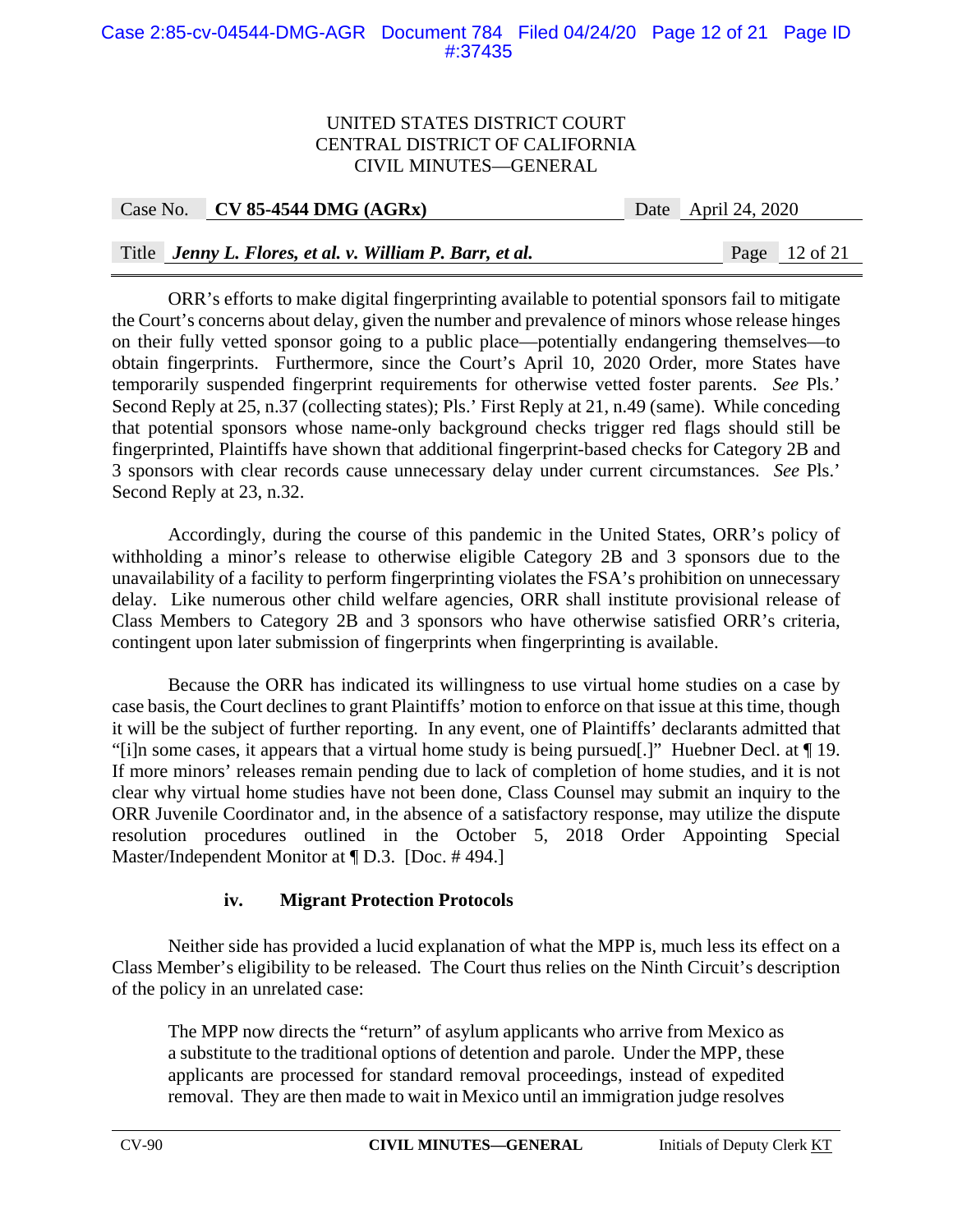# Case 2:85-cv-04544-DMG-AGR Document 784 Filed 04/24/20 Page 12 of 21 Page ID #:37435

#### UNITED STATES DISTRICT COURT CENTRAL DISTRICT OF CALIFORNIA CIVIL MINUTES—GENERAL

| Case No. | <b>CV 85-4544 DMG (AGRx)</b> |  |
|----------|------------------------------|--|
|----------|------------------------------|--|

Date April 24, 2020

# Title *Jenny L. Flores, et al. v. William P. Barr, et al.* Page 12 of 21

ORR's efforts to make digital fingerprinting available to potential sponsors fail to mitigate the Court's concerns about delay, given the number and prevalence of minors whose release hinges on their fully vetted sponsor going to a public place—potentially endangering themselves—to obtain fingerprints. Furthermore, since the Court's April 10, 2020 Order, more States have temporarily suspended fingerprint requirements for otherwise vetted foster parents. *See* Pls.' Second Reply at 25, n.37 (collecting states); Pls.' First Reply at 21, n.49 (same). While conceding that potential sponsors whose name-only background checks trigger red flags should still be fingerprinted, Plaintiffs have shown that additional fingerprint-based checks for Category 2B and 3 sponsors with clear records cause unnecessary delay under current circumstances. *See* Pls.' Second Reply at 23, n.32.

Accordingly, during the course of this pandemic in the United States, ORR's policy of withholding a minor's release to otherwise eligible Category 2B and 3 sponsors due to the unavailability of a facility to perform fingerprinting violates the FSA's prohibition on unnecessary delay. Like numerous other child welfare agencies, ORR shall institute provisional release of Class Members to Category 2B and 3 sponsors who have otherwise satisfied ORR's criteria, contingent upon later submission of fingerprints when fingerprinting is available.

Because the ORR has indicated its willingness to use virtual home studies on a case by case basis, the Court declines to grant Plaintiffs' motion to enforce on that issue at this time, though it will be the subject of further reporting. In any event, one of Plaintiffs' declarants admitted that "[i]n some cases, it appears that a virtual home study is being pursued[.]" Huebner Decl. at ¶ 19. If more minors' releases remain pending due to lack of completion of home studies, and it is not clear why virtual home studies have not been done, Class Counsel may submit an inquiry to the ORR Juvenile Coordinator and, in the absence of a satisfactory response, may utilize the dispute resolution procedures outlined in the October 5, 2018 Order Appointing Special Master/Independent Monitor at ¶ D.3. [Doc. # 494.]

# **iv. Migrant Protection Protocols**

Neither side has provided a lucid explanation of what the MPP is, much less its effect on a Class Member's eligibility to be released. The Court thus relies on the Ninth Circuit's description of the policy in an unrelated case:

The MPP now directs the "return" of asylum applicants who arrive from Mexico as a substitute to the traditional options of detention and parole. Under the MPP, these applicants are processed for standard removal proceedings, instead of expedited removal. They are then made to wait in Mexico until an immigration judge resolves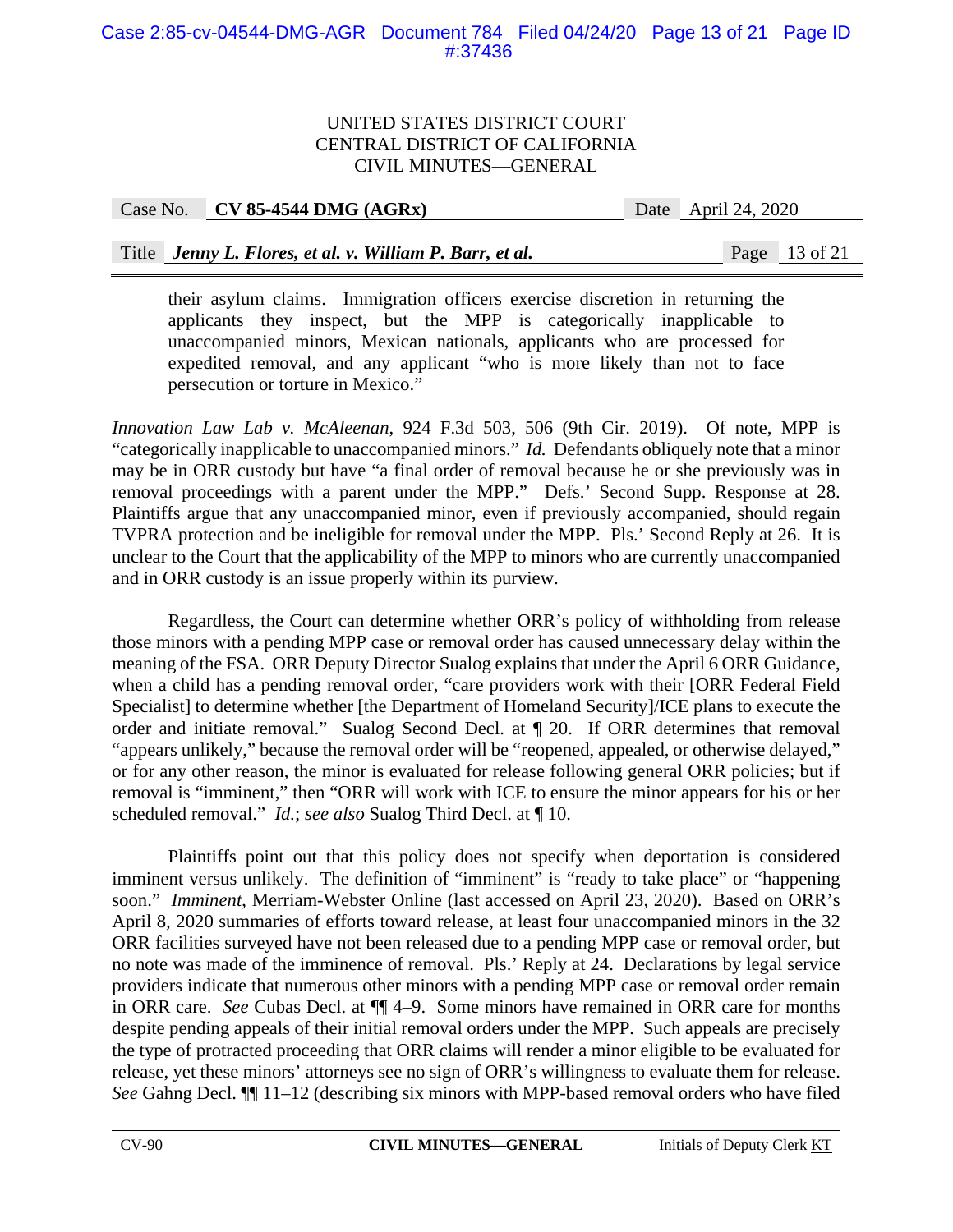Case No. **CV 85-4544 DMG (AGRx)** Date April 24, 2020

# Title *Jenny L. Flores, et al. v. William P. Barr, et al.* Page 13 of 21

their asylum claims. Immigration officers exercise discretion in returning the applicants they inspect, but the MPP is categorically inapplicable to unaccompanied minors, Mexican nationals, applicants who are processed for expedited removal, and any applicant "who is more likely than not to face persecution or torture in Mexico."

*Innovation Law Lab v. McAleenan*, 924 F.3d 503, 506 (9th Cir. 2019). Of note, MPP is "categorically inapplicable to unaccompanied minors." *Id.* Defendants obliquely note that a minor may be in ORR custody but have "a final order of removal because he or she previously was in removal proceedings with a parent under the MPP." Defs.' Second Supp. Response at 28. Plaintiffs argue that any unaccompanied minor, even if previously accompanied, should regain TVPRA protection and be ineligible for removal under the MPP. Pls.' Second Reply at 26. It is unclear to the Court that the applicability of the MPP to minors who are currently unaccompanied and in ORR custody is an issue properly within its purview.

 Regardless, the Court can determine whether ORR's policy of withholding from release those minors with a pending MPP case or removal order has caused unnecessary delay within the meaning of the FSA. ORR Deputy Director Sualog explains that under the April 6 ORR Guidance, when a child has a pending removal order, "care providers work with their [ORR Federal Field Specialist] to determine whether [the Department of Homeland Security]/ICE plans to execute the order and initiate removal." Sualog Second Decl. at ¶ 20. If ORR determines that removal "appears unlikely," because the removal order will be "reopened, appealed, or otherwise delayed," or for any other reason, the minor is evaluated for release following general ORR policies; but if removal is "imminent," then "ORR will work with ICE to ensure the minor appears for his or her scheduled removal." *Id.*; *see also* Sualog Third Decl. at ¶ 10.

 Plaintiffs point out that this policy does not specify when deportation is considered imminent versus unlikely. The definition of "imminent" is "ready to take place" or "happening soon." *Imminent*, Merriam-Webster Online (last accessed on April 23, 2020). Based on ORR's April 8, 2020 summaries of efforts toward release, at least four unaccompanied minors in the 32 ORR facilities surveyed have not been released due to a pending MPP case or removal order, but no note was made of the imminence of removal. Pls.' Reply at 24. Declarations by legal service providers indicate that numerous other minors with a pending MPP case or removal order remain in ORR care. *See* Cubas Decl. at ¶¶ 4–9. Some minors have remained in ORR care for months despite pending appeals of their initial removal orders under the MPP. Such appeals are precisely the type of protracted proceeding that ORR claims will render a minor eligible to be evaluated for release, yet these minors' attorneys see no sign of ORR's willingness to evaluate them for release. *See* Gahng Decl. ¶¶ 11–12 (describing six minors with MPP-based removal orders who have filed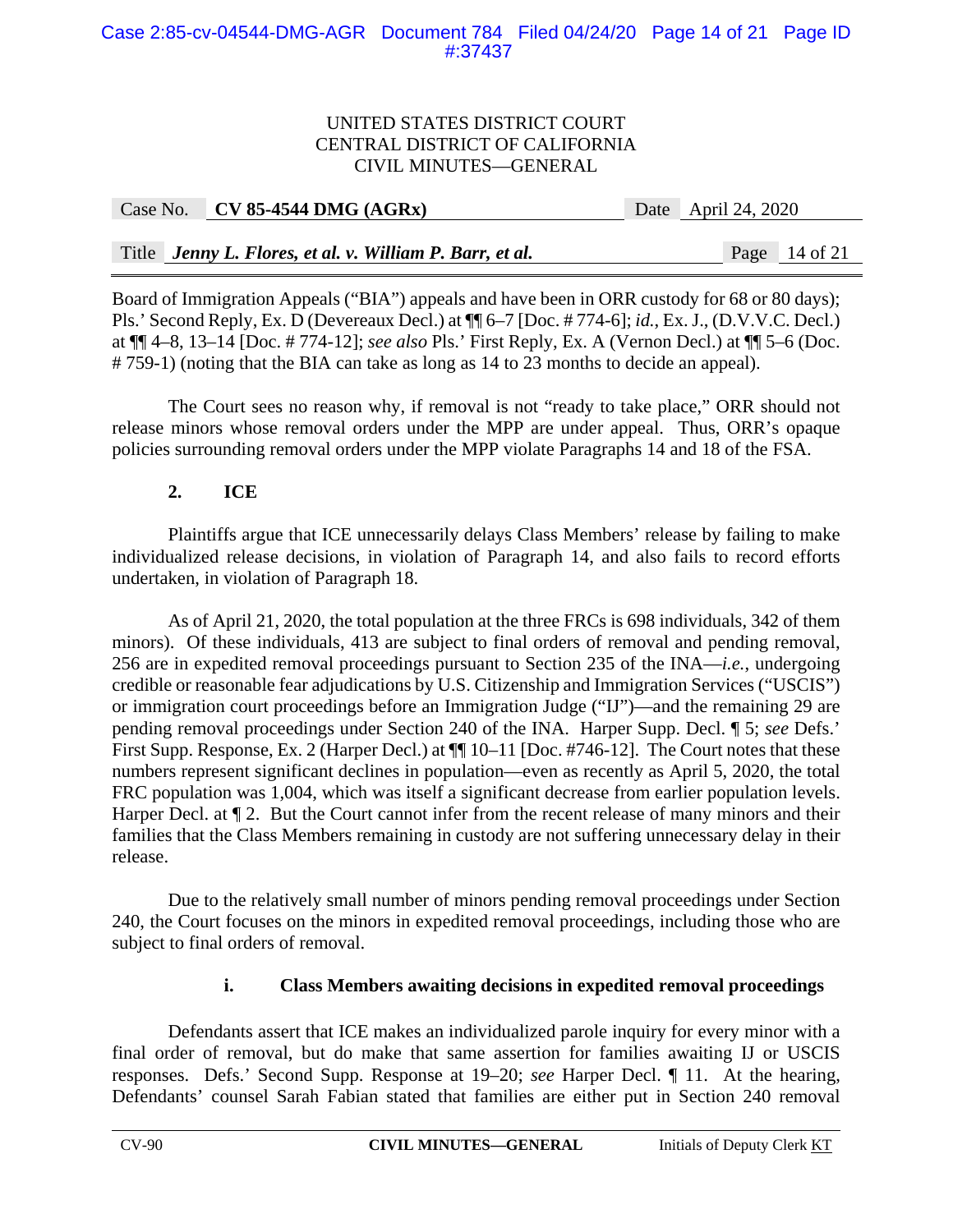| Case No. CV 85-4544 DMG $(AGRx)$ | Date April 24, 2020 |
|----------------------------------|---------------------|
|                                  |                     |

Title *Jenny L. Flores, et al. v. William P. Barr, et al.* Page 14 of 21

Board of Immigration Appeals ("BIA") appeals and have been in ORR custody for 68 or 80 days); Pls.' Second Reply, Ex. D (Devereaux Decl.) at ¶¶ 6–7 [Doc. # 774-6]; *id.*, Ex. J., (D.V.V.C. Decl.) at ¶¶ 4–8, 13–14 [Doc. # 774-12]; *see also* Pls.' First Reply, Ex. A (Vernon Decl.) at ¶¶ 5–6 (Doc. # 759-1) (noting that the BIA can take as long as 14 to 23 months to decide an appeal).

The Court sees no reason why, if removal is not "ready to take place," ORR should not release minors whose removal orders under the MPP are under appeal. Thus, ORR's opaque policies surrounding removal orders under the MPP violate Paragraphs 14 and 18 of the FSA.

# **2. ICE**

Plaintiffs argue that ICE unnecessarily delays Class Members' release by failing to make individualized release decisions, in violation of Paragraph 14, and also fails to record efforts undertaken, in violation of Paragraph 18.

As of April 21, 2020, the total population at the three FRCs is 698 individuals, 342 of them minors). Of these individuals, 413 are subject to final orders of removal and pending removal, 256 are in expedited removal proceedings pursuant to Section 235 of the INA—*i.e.*, undergoing credible or reasonable fear adjudications by U.S. Citizenship and Immigration Services ("USCIS") or immigration court proceedings before an Immigration Judge ("IJ")—and the remaining 29 are pending removal proceedings under Section 240 of the INA. Harper Supp. Decl. ¶ 5; *see* Defs.' First Supp. Response, Ex. 2 (Harper Decl.) at ¶¶ 10–11 [Doc. #746-12]. The Court notes that these numbers represent significant declines in population—even as recently as April 5, 2020, the total FRC population was 1,004, which was itself a significant decrease from earlier population levels. Harper Decl. at  $\P$  2. But the Court cannot infer from the recent release of many minors and their families that the Class Members remaining in custody are not suffering unnecessary delay in their release.

Due to the relatively small number of minors pending removal proceedings under Section 240, the Court focuses on the minors in expedited removal proceedings, including those who are subject to final orders of removal.

# **i. Class Members awaiting decisions in expedited removal proceedings**

Defendants assert that ICE makes an individualized parole inquiry for every minor with a final order of removal, but do make that same assertion for families awaiting IJ or USCIS responses. Defs.' Second Supp. Response at 19–20; *see* Harper Decl. ¶ 11. At the hearing, Defendants' counsel Sarah Fabian stated that families are either put in Section 240 removal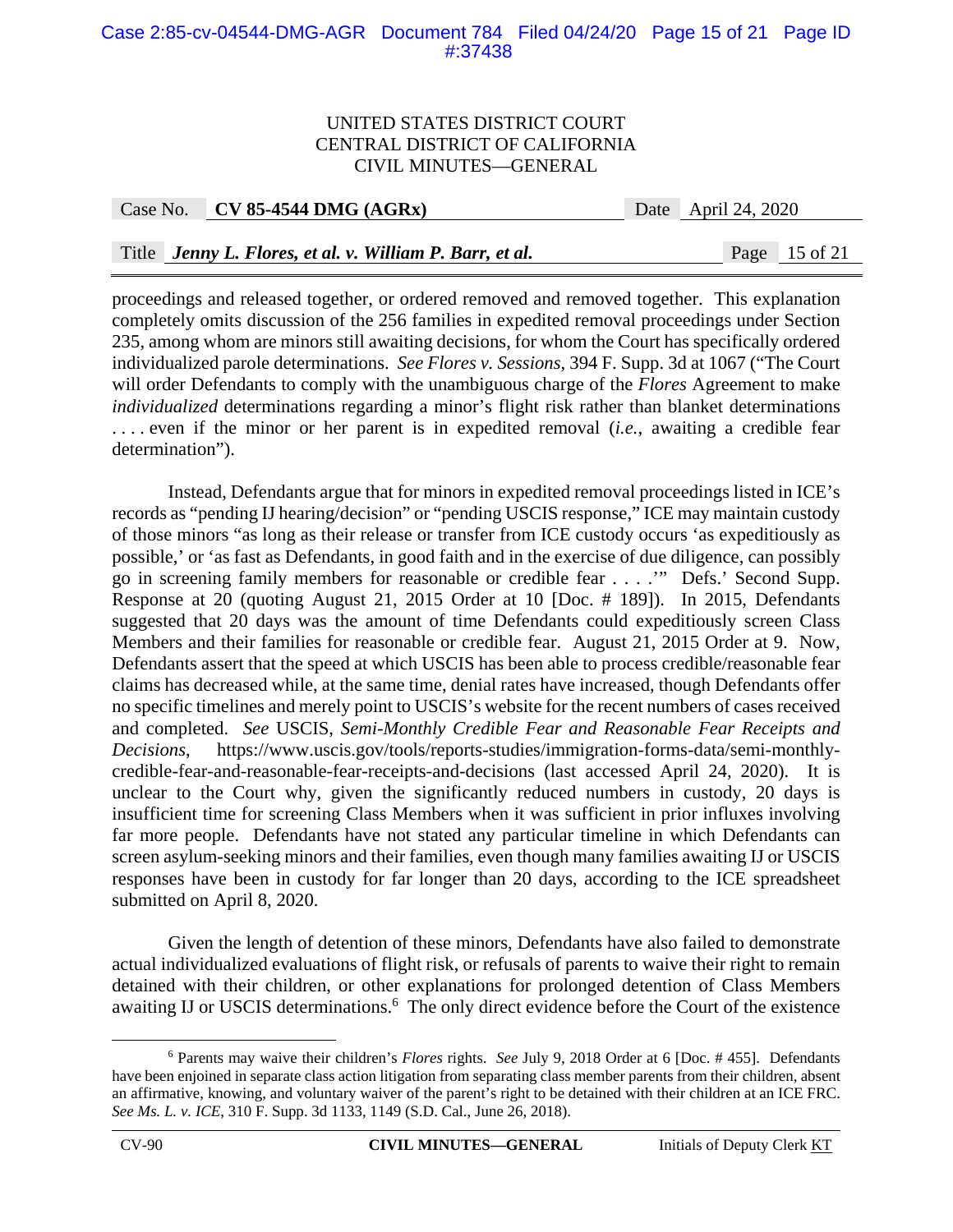### Case 2:85-cv-04544-DMG-AGR Document 784 Filed 04/24/20 Page 15 of 21 Page ID #:37438

#### UNITED STATES DISTRICT COURT CENTRAL DISTRICT OF CALIFORNIA CIVIL MINUTES—GENERAL

Case No. **CV 85-4544 DMG (AGRx)** Date April 24, 2020

### Title *Jenny L. Flores, et al. v. William P. Barr, et al.* Page 15 of 21

proceedings and released together, or ordered removed and removed together. This explanation completely omits discussion of the 256 families in expedited removal proceedings under Section 235, among whom are minors still awaiting decisions, for whom the Court has specifically ordered individualized parole determinations. *See Flores v. Sessions*, 394 F. Supp. 3d at 1067 ("The Court will order Defendants to comply with the unambiguous charge of the *Flores* Agreement to make *individualized* determinations regarding a minor's flight risk rather than blanket determinations . . . . even if the minor or her parent is in expedited removal (*i.e.*, awaiting a credible fear determination").

 Instead, Defendants argue that for minors in expedited removal proceedings listed in ICE's records as "pending IJ hearing/decision" or "pending USCIS response," ICE may maintain custody of those minors "as long as their release or transfer from ICE custody occurs 'as expeditiously as possible,' or 'as fast as Defendants, in good faith and in the exercise of due diligence, can possibly go in screening family members for reasonable or credible fear . . . .'" Defs.' Second Supp. Response at 20 (quoting August 21, 2015 Order at 10 [Doc. # 189]). In 2015, Defendants suggested that 20 days was the amount of time Defendants could expeditiously screen Class Members and their families for reasonable or credible fear. August 21, 2015 Order at 9. Now, Defendants assert that the speed at which USCIS has been able to process credible/reasonable fear claims has decreased while, at the same time, denial rates have increased, though Defendants offer no specific timelines and merely point to USCIS's website for the recent numbers of cases received and completed. *See* USCIS, *Semi-Monthly Credible Fear and Reasonable Fear Receipts and Decisions*, https://www.uscis.gov/tools/reports-studies/immigration-forms-data/semi-monthlycredible-fear-and-reasonable-fear-receipts-and-decisions (last accessed April 24, 2020). It is unclear to the Court why, given the significantly reduced numbers in custody, 20 days is insufficient time for screening Class Members when it was sufficient in prior influxes involving far more people. Defendants have not stated any particular timeline in which Defendants can screen asylum-seeking minors and their families, even though many families awaiting IJ or USCIS responses have been in custody for far longer than 20 days, according to the ICE spreadsheet submitted on April 8, 2020.

Given the length of detention of these minors, Defendants have also failed to demonstrate actual individualized evaluations of flight risk, or refusals of parents to waive their right to remain detained with their children, or other explanations for prolonged detention of Class Members awaiting IJ or USCIS determinations.<sup>6</sup> The only direct evidence before the Court of the existence

 <sup>6</sup> Parents may waive their children's *Flores* rights. *See* July 9, 2018 Order at 6 [Doc. # 455]. Defendants have been enjoined in separate class action litigation from separating class member parents from their children, absent an affirmative, knowing, and voluntary waiver of the parent's right to be detained with their children at an ICE FRC. *See Ms. L. v. ICE*, 310 F. Supp. 3d 1133, 1149 (S.D. Cal., June 26, 2018).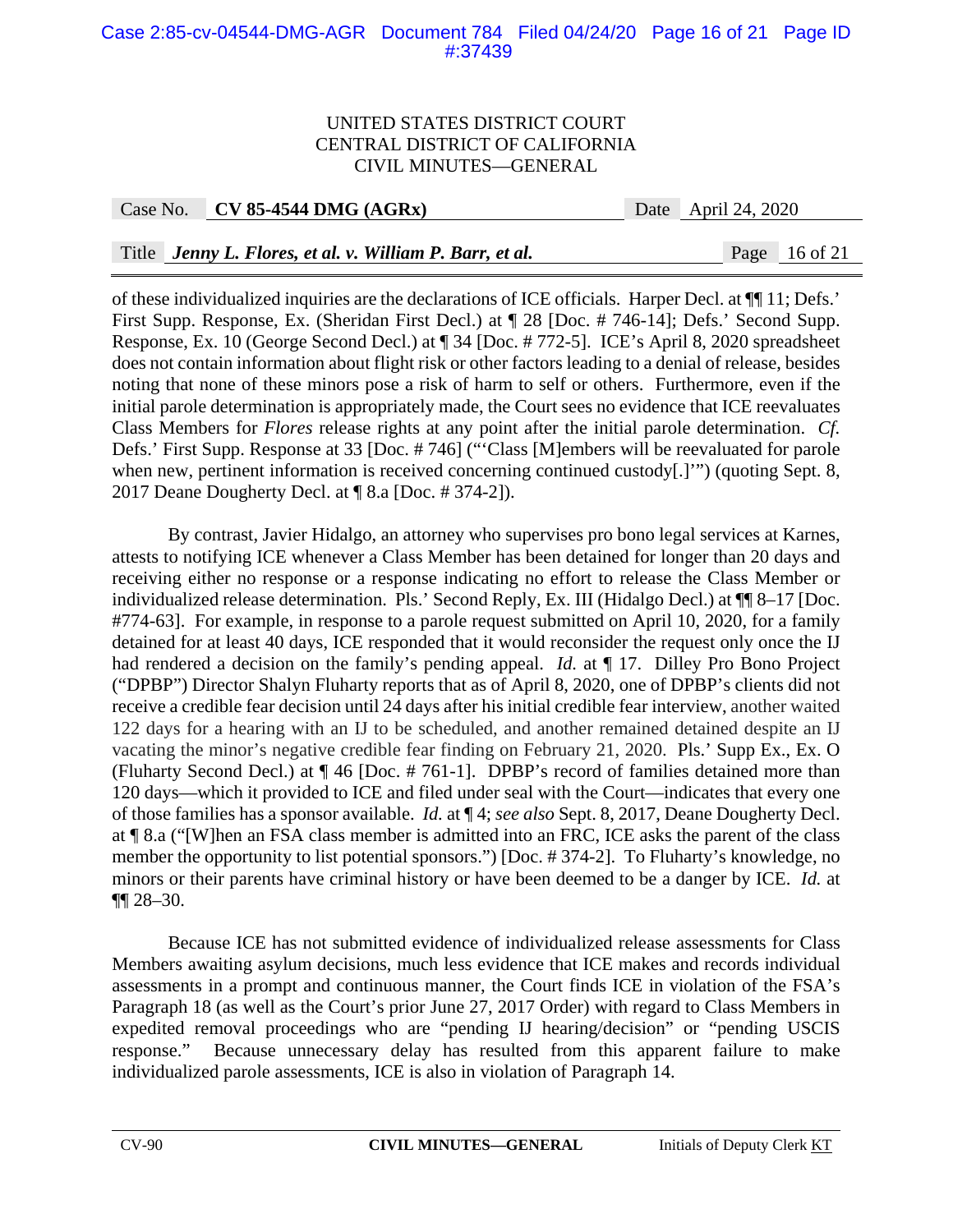# Case 2:85-cv-04544-DMG-AGR Document 784 Filed 04/24/20 Page 16 of 21 Page ID #:37439

#### UNITED STATES DISTRICT COURT CENTRAL DISTRICT OF CALIFORNIA CIVIL MINUTES—GENERAL

Case No. **CV 85-4544 DMG (AGRx)** Date April 24, 2020

# Title *Jenny L. Flores, et al. v. William P. Barr, et al.* Page 16 of 21

of these individualized inquiries are the declarations of ICE officials. Harper Decl. at ¶¶ 11; Defs.' First Supp. Response, Ex. (Sheridan First Decl.) at ¶ 28 [Doc. # 746-14]; Defs.' Second Supp. Response, Ex. 10 (George Second Decl.) at ¶ 34 [Doc. # 772-5]. ICE's April 8, 2020 spreadsheet does not contain information about flight risk or other factors leading to a denial of release, besides noting that none of these minors pose a risk of harm to self or others. Furthermore, even if the initial parole determination is appropriately made, the Court sees no evidence that ICE reevaluates Class Members for *Flores* release rights at any point after the initial parole determination. *Cf.* Defs.' First Supp. Response at 33 [Doc. # 746] ("'Class [M]embers will be reevaluated for parole when new, pertinent information is received concerning continued custody[.]'") (quoting Sept. 8, 2017 Deane Dougherty Decl. at ¶ 8.a [Doc. # 374-2]).

By contrast, Javier Hidalgo, an attorney who supervises pro bono legal services at Karnes, attests to notifying ICE whenever a Class Member has been detained for longer than 20 days and receiving either no response or a response indicating no effort to release the Class Member or individualized release determination. Pls.' Second Reply, Ex. III (Hidalgo Decl.) at ¶¶ 8–17 [Doc. #774-63]. For example, in response to a parole request submitted on April 10, 2020, for a family detained for at least 40 days, ICE responded that it would reconsider the request only once the IJ had rendered a decision on the family's pending appeal. *Id.* at  $\P$  17. Dilley Pro Bono Project ("DPBP") Director Shalyn Fluharty reports that as of April 8, 2020, one of DPBP's clients did not receive a credible fear decision until 24 days after his initial credible fear interview, another waited 122 days for a hearing with an IJ to be scheduled, and another remained detained despite an IJ vacating the minor's negative credible fear finding on February 21, 2020. Pls.' Supp Ex., Ex. O (Fluharty Second Decl.) at ¶ 46 [Doc. # 761-1]. DPBP's record of families detained more than 120 days—which it provided to ICE and filed under seal with the Court—indicates that every one of those families has a sponsor available. *Id.* at ¶ 4; *see also* Sept. 8, 2017, Deane Dougherty Decl. at ¶ 8.a ("[W]hen an FSA class member is admitted into an FRC, ICE asks the parent of the class member the opportunity to list potential sponsors.") [Doc. # 374-2]. To Fluharty's knowledge, no minors or their parents have criminal history or have been deemed to be a danger by ICE. *Id.* at ¶¶ 28–30.

Because ICE has not submitted evidence of individualized release assessments for Class Members awaiting asylum decisions, much less evidence that ICE makes and records individual assessments in a prompt and continuous manner, the Court finds ICE in violation of the FSA's Paragraph 18 (as well as the Court's prior June 27, 2017 Order) with regard to Class Members in expedited removal proceedings who are "pending IJ hearing/decision" or "pending USCIS response." Because unnecessary delay has resulted from this apparent failure to make individualized parole assessments, ICE is also in violation of Paragraph 14.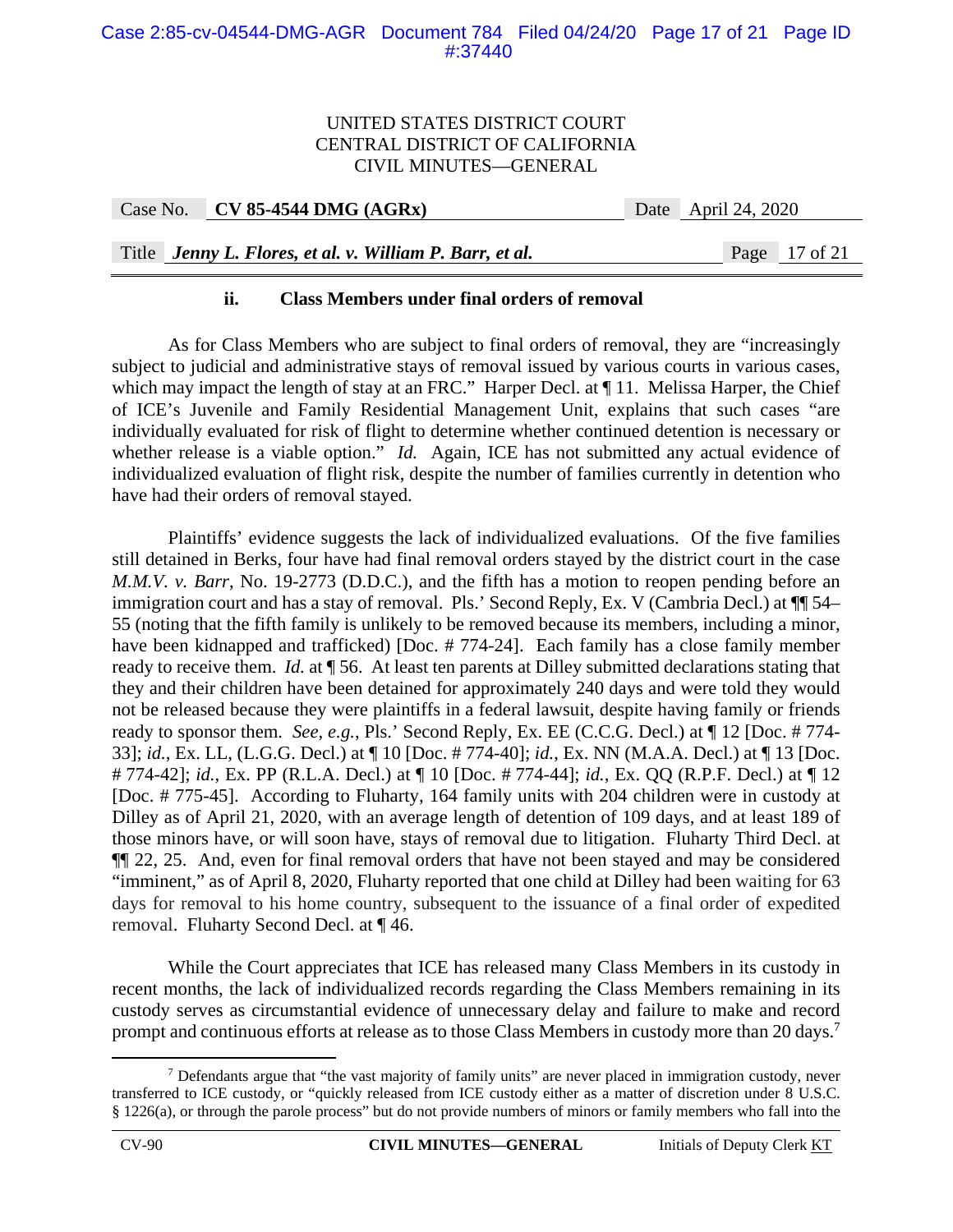| Case No. CV 85-4544 DMG $(AGRx)$ | Date April 24, 2020 |
|----------------------------------|---------------------|
|                                  |                     |

Title *Jenny L. Flores, et al. v. William P. Barr, et al.* Page 17 of 21

# **ii. Class Members under final orders of removal**

As for Class Members who are subject to final orders of removal, they are "increasingly subject to judicial and administrative stays of removal issued by various courts in various cases, which may impact the length of stay at an FRC." Harper Decl. at  $\P$  11. Melissa Harper, the Chief of ICE's Juvenile and Family Residential Management Unit, explains that such cases "are individually evaluated for risk of flight to determine whether continued detention is necessary or whether release is a viable option." *Id.* Again, ICE has not submitted any actual evidence of individualized evaluation of flight risk, despite the number of families currently in detention who have had their orders of removal stayed.

Plaintiffs' evidence suggests the lack of individualized evaluations. Of the five families still detained in Berks, four have had final removal orders stayed by the district court in the case *M.M.V. v. Barr*, No. 19-2773 (D.D.C.), and the fifth has a motion to reopen pending before an immigration court and has a stay of removal. Pls.' Second Reply, Ex. V (Cambria Decl.) at  $\P$  54– 55 (noting that the fifth family is unlikely to be removed because its members, including a minor, have been kidnapped and trafficked) [Doc. # 774-24]. Each family has a close family member ready to receive them. *Id.* at ¶ 56. At least ten parents at Dilley submitted declarations stating that they and their children have been detained for approximately 240 days and were told they would not be released because they were plaintiffs in a federal lawsuit, despite having family or friends ready to sponsor them. *See, e.g.*, Pls.' Second Reply, Ex. EE (C.C.G. Decl.) at ¶ 12 [Doc. # 774- 33]; *id.*, Ex. LL, (L.G.G. Decl.) at ¶ 10 [Doc. # 774-40]; *id.*, Ex. NN (M.A.A. Decl.) at ¶ 13 [Doc. # 774-42]; *id.*, Ex. PP (R.L.A. Decl.) at ¶ 10 [Doc. # 774-44]; *id.*, Ex. QQ (R.P.F. Decl.) at ¶ 12 [Doc. # 775-45]. According to Fluharty, 164 family units with 204 children were in custody at Dilley as of April 21, 2020, with an average length of detention of 109 days, and at least 189 of those minors have, or will soon have, stays of removal due to litigation. Fluharty Third Decl. at ¶¶ 22, 25. And, even for final removal orders that have not been stayed and may be considered "imminent," as of April 8, 2020, Fluharty reported that one child at Dilley had been waiting for 63 days for removal to his home country, subsequent to the issuance of a final order of expedited removal. Fluharty Second Decl. at ¶ 46.

While the Court appreciates that ICE has released many Class Members in its custody in recent months, the lack of individualized records regarding the Class Members remaining in its custody serves as circumstantial evidence of unnecessary delay and failure to make and record prompt and continuous efforts at release as to those Class Members in custody more than 20 days.<sup>7</sup>

 $\begin{array}{c|c}\n\hline\n\end{array}$  $\frac{1}{2}$  Defendants argue that "the vast majority of family units" are never placed in immigration custody, never transferred to ICE custody, or "quickly released from ICE custody either as a matter of discretion under 8 U.S.C. § 1226(a), or through the parole process" but do not provide numbers of minors or family members who fall into the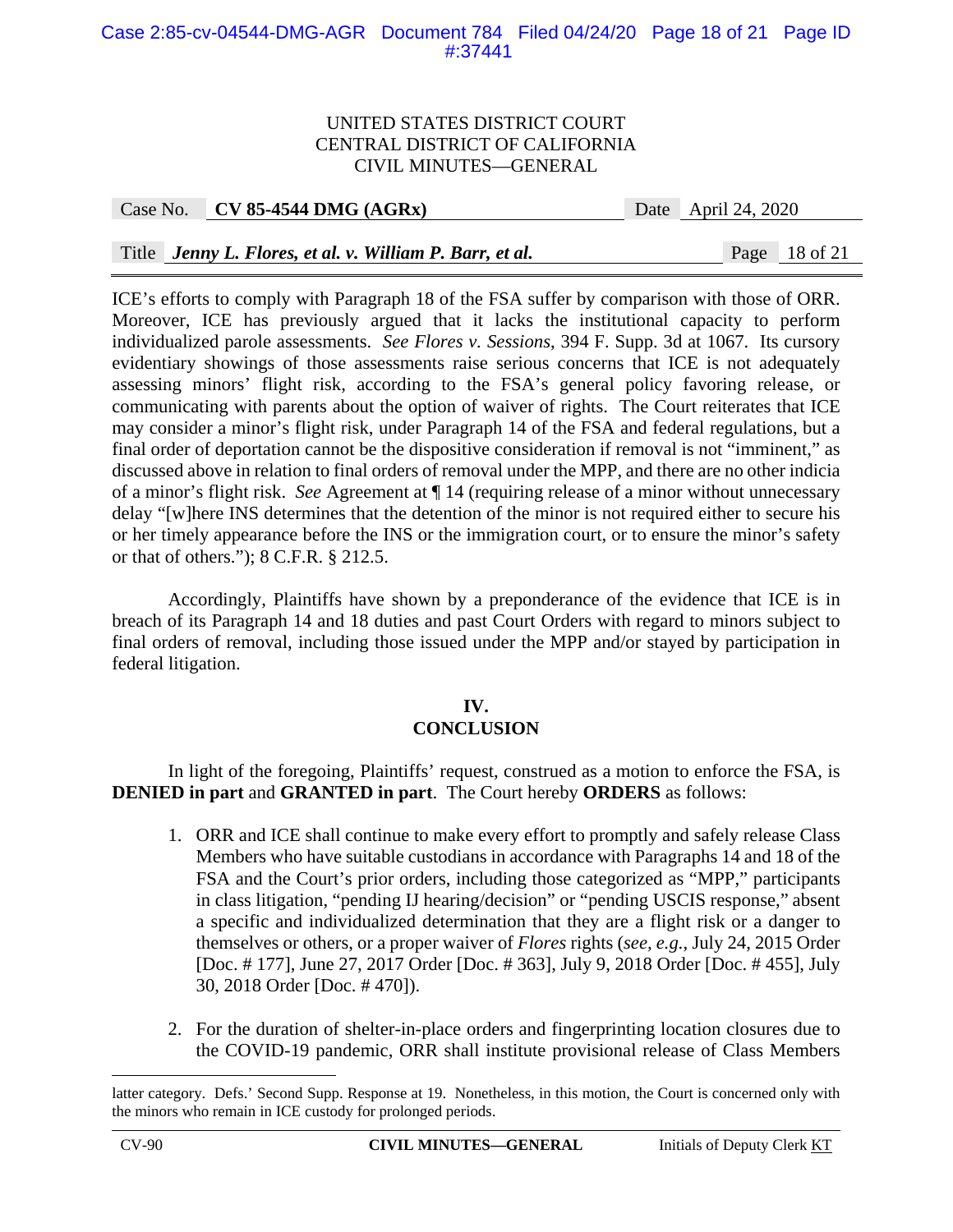## Case 2:85-cv-04544-DMG-AGR Document 784 Filed 04/24/20 Page 18 of 21 Page ID #:37441

#### UNITED STATES DISTRICT COURT CENTRAL DISTRICT OF CALIFORNIA CIVIL MINUTES—GENERAL

| Case No. | <b>CV 85-4544 DMG (AGRx)</b> |
|----------|------------------------------|
|----------|------------------------------|

Date April 24, 2020

# Title *Jenny L. Flores, et al. v. William P. Barr, et al.* Page 18 of 21

ICE's efforts to comply with Paragraph 18 of the FSA suffer by comparison with those of ORR. Moreover, ICE has previously argued that it lacks the institutional capacity to perform individualized parole assessments. *See Flores v. Sessions*, 394 F. Supp. 3d at 1067. Its cursory evidentiary showings of those assessments raise serious concerns that ICE is not adequately assessing minors' flight risk, according to the FSA's general policy favoring release, or communicating with parents about the option of waiver of rights. The Court reiterates that ICE may consider a minor's flight risk, under Paragraph 14 of the FSA and federal regulations, but a final order of deportation cannot be the dispositive consideration if removal is not "imminent," as discussed above in relation to final orders of removal under the MPP, and there are no other indicia of a minor's flight risk. *See* Agreement at ¶ 14 (requiring release of a minor without unnecessary delay "[w]here INS determines that the detention of the minor is not required either to secure his or her timely appearance before the INS or the immigration court, or to ensure the minor's safety or that of others."); 8 C.F.R. § 212.5.

Accordingly, Plaintiffs have shown by a preponderance of the evidence that ICE is in breach of its Paragraph 14 and 18 duties and past Court Orders with regard to minors subject to final orders of removal, including those issued under the MPP and/or stayed by participation in federal litigation.

#### **IV. CONCLUSION**

In light of the foregoing, Plaintiffs' request, construed as a motion to enforce the FSA, is **DENIED in part** and **GRANTED in part**. The Court hereby **ORDERS** as follows:

- 1. ORR and ICE shall continue to make every effort to promptly and safely release Class Members who have suitable custodians in accordance with Paragraphs 14 and 18 of the FSA and the Court's prior orders, including those categorized as "MPP," participants in class litigation, "pending IJ hearing/decision" or "pending USCIS response," absent a specific and individualized determination that they are a flight risk or a danger to themselves or others, or a proper waiver of *Flores* rights (*see, e.g.*, July 24, 2015 Order [Doc. # 177], June 27, 2017 Order [Doc. # 363], July 9, 2018 Order [Doc. # 455], July 30, 2018 Order [Doc. # 470]).
- 2. For the duration of shelter-in-place orders and fingerprinting location closures due to the COVID-19 pandemic, ORR shall institute provisional release of Class Members

 $\overline{a}$ 

latter category. Defs.' Second Supp. Response at 19. Nonetheless, in this motion, the Court is concerned only with the minors who remain in ICE custody for prolonged periods.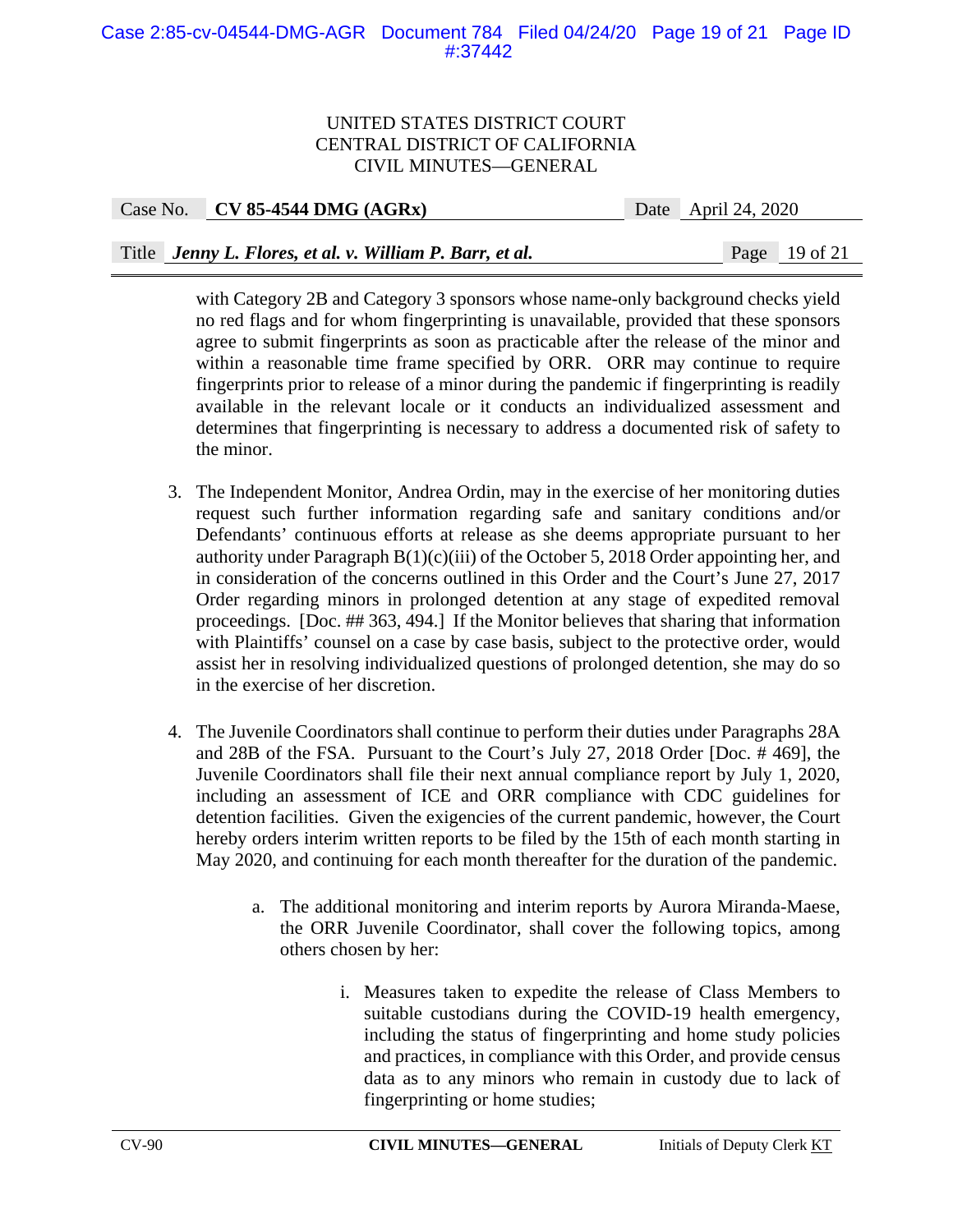Case No. **CV 85-4544 DMG (AGRx)** Date April 24, 2020

# Title *Jenny L. Flores, et al. v. William P. Barr, et al.* Page 19 of 21

with Category 2B and Category 3 sponsors whose name-only background checks yield no red flags and for whom fingerprinting is unavailable, provided that these sponsors agree to submit fingerprints as soon as practicable after the release of the minor and within a reasonable time frame specified by ORR. ORR may continue to require fingerprints prior to release of a minor during the pandemic if fingerprinting is readily available in the relevant locale or it conducts an individualized assessment and determines that fingerprinting is necessary to address a documented risk of safety to the minor.

- 3. The Independent Monitor, Andrea Ordin, may in the exercise of her monitoring duties request such further information regarding safe and sanitary conditions and/or Defendants' continuous efforts at release as she deems appropriate pursuant to her authority under Paragraph  $B(1)(c)(iii)$  of the October 5, 2018 Order appointing her, and in consideration of the concerns outlined in this Order and the Court's June 27, 2017 Order regarding minors in prolonged detention at any stage of expedited removal proceedings. [Doc. ## 363, 494.] If the Monitor believes that sharing that information with Plaintiffs' counsel on a case by case basis, subject to the protective order, would assist her in resolving individualized questions of prolonged detention, she may do so in the exercise of her discretion.
- 4. The Juvenile Coordinators shall continue to perform their duties under Paragraphs 28A and 28B of the FSA. Pursuant to the Court's July 27, 2018 Order [Doc. # 469], the Juvenile Coordinators shall file their next annual compliance report by July 1, 2020, including an assessment of ICE and ORR compliance with CDC guidelines for detention facilities. Given the exigencies of the current pandemic, however, the Court hereby orders interim written reports to be filed by the 15th of each month starting in May 2020, and continuing for each month thereafter for the duration of the pandemic.
	- a. The additional monitoring and interim reports by Aurora Miranda-Maese, the ORR Juvenile Coordinator, shall cover the following topics, among others chosen by her:
		- i. Measures taken to expedite the release of Class Members to suitable custodians during the COVID-19 health emergency, including the status of fingerprinting and home study policies and practices, in compliance with this Order, and provide census data as to any minors who remain in custody due to lack of fingerprinting or home studies;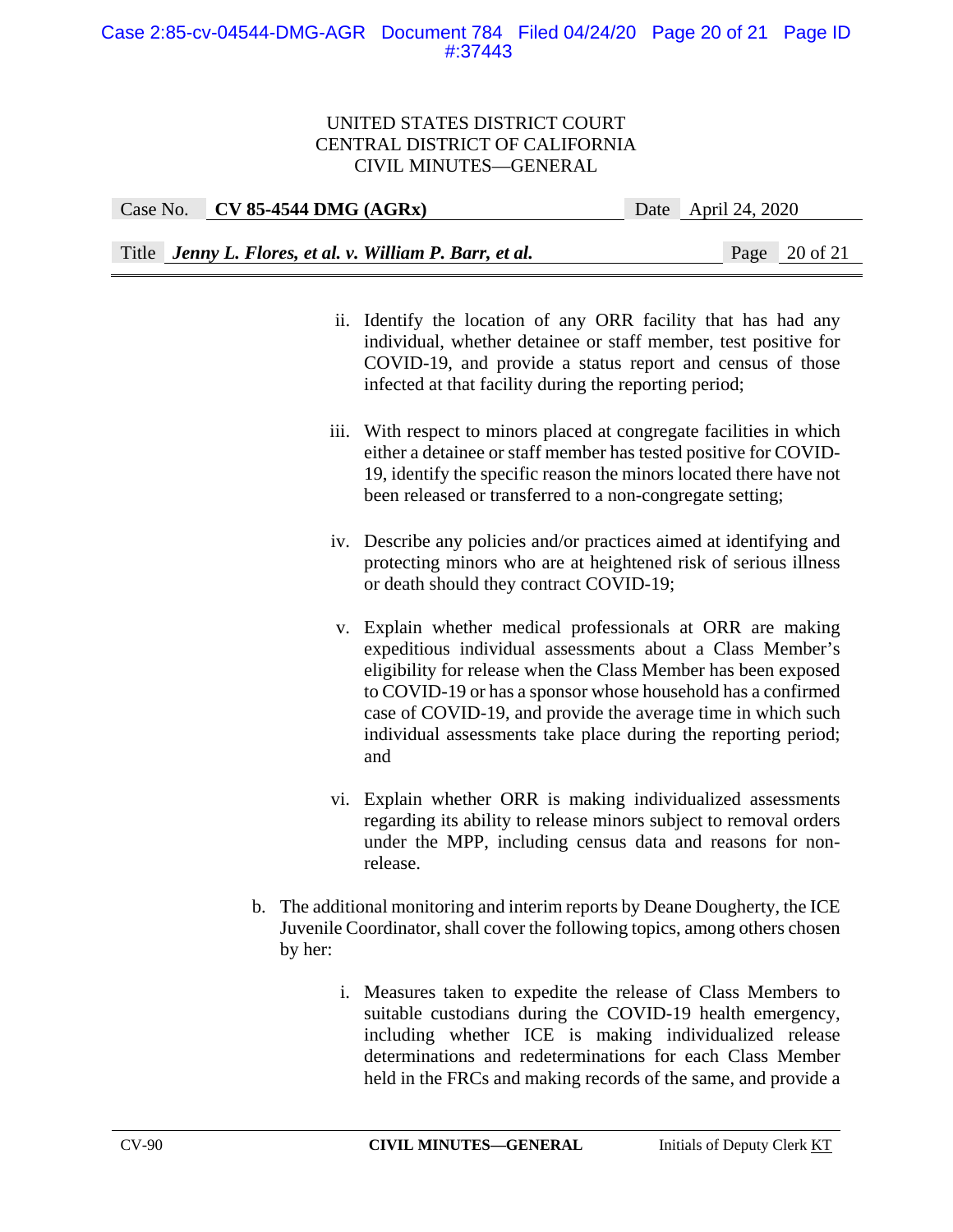#### Case 2:85-cv-04544-DMG-AGR Document 784 Filed 04/24/20 Page 20 of 21 Page ID #:37443

# UNITED STATES DISTRICT COURT CENTRAL DISTRICT OF CALIFORNIA CIVIL MINUTES—GENERAL

| Case No. CV 85-4544 DMG $(AGRx)$                         | Date April 24, 2020 |  |
|----------------------------------------------------------|---------------------|--|
|                                                          |                     |  |
| Title Jenny L. Flores, et al. v. William P. Barr, et al. | Page $20$ of 21     |  |

- ii. Identify the location of any ORR facility that has had any individual, whether detainee or staff member, test positive for COVID-19, and provide a status report and census of those infected at that facility during the reporting period;
- iii. With respect to minors placed at congregate facilities in which either a detainee or staff member has tested positive for COVID-19, identify the specific reason the minors located there have not been released or transferred to a non-congregate setting;
- iv. Describe any policies and/or practices aimed at identifying and protecting minors who are at heightened risk of serious illness or death should they contract COVID-19;
- v. Explain whether medical professionals at ORR are making expeditious individual assessments about a Class Member's eligibility for release when the Class Member has been exposed to COVID-19 or has a sponsor whose household has a confirmed case of COVID-19, and provide the average time in which such individual assessments take place during the reporting period; and
- vi. Explain whether ORR is making individualized assessments regarding its ability to release minors subject to removal orders under the MPP, including census data and reasons for nonrelease.
- b. The additional monitoring and interim reports by Deane Dougherty, the ICE Juvenile Coordinator, shall cover the following topics, among others chosen by her:
	- i. Measures taken to expedite the release of Class Members to suitable custodians during the COVID-19 health emergency, including whether ICE is making individualized release determinations and redeterminations for each Class Member held in the FRCs and making records of the same, and provide a